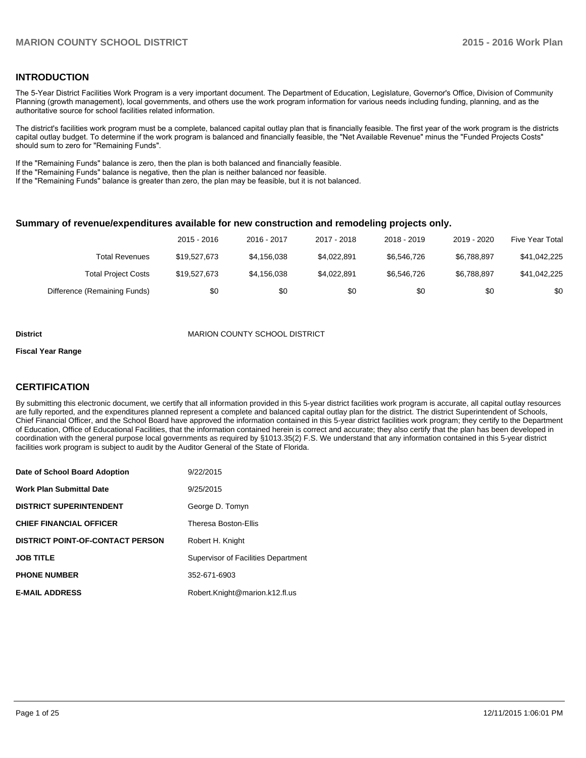# **INTRODUCTION**

The 5-Year District Facilities Work Program is a very important document. The Department of Education, Legislature, Governor's Office, Division of Community Planning (growth management), local governments, and others use the work program information for various needs including funding, planning, and as the authoritative source for school facilities related information.

The district's facilities work program must be a complete, balanced capital outlay plan that is financially feasible. The first year of the work program is the districts capital outlay budget. To determine if the work program is balanced and financially feasible, the "Net Available Revenue" minus the "Funded Projects Costs" should sum to zero for "Remaining Funds".

If the "Remaining Funds" balance is zero, then the plan is both balanced and financially feasible.

If the "Remaining Funds" balance is negative, then the plan is neither balanced nor feasible.

If the "Remaining Funds" balance is greater than zero, the plan may be feasible, but it is not balanced.

#### **Summary of revenue/expenditures available for new construction and remodeling projects only.**

|                              | 2015 - 2016  | 2016 - 2017 | 2017 - 2018 | 2018 - 2019 | 2019 - 2020 | Five Year Total |
|------------------------------|--------------|-------------|-------------|-------------|-------------|-----------------|
| Total Revenues               | \$19,527,673 | \$4,156,038 | \$4.022.891 | \$6.546.726 | \$6.788.897 | \$41,042,225    |
| <b>Total Project Costs</b>   | \$19,527,673 | \$4,156,038 | \$4.022.891 | \$6.546.726 | \$6.788.897 | \$41,042,225    |
| Difference (Remaining Funds) | \$0          | \$0         | \$0         | \$0         | \$0         | \$0             |

#### **District MARION COUNTY SCHOOL DISTRICT**

#### **Fiscal Year Range**

# **CERTIFICATION**

By submitting this electronic document, we certify that all information provided in this 5-year district facilities work program is accurate, all capital outlay resources are fully reported, and the expenditures planned represent a complete and balanced capital outlay plan for the district. The district Superintendent of Schools, Chief Financial Officer, and the School Board have approved the information contained in this 5-year district facilities work program; they certify to the Department of Education, Office of Educational Facilities, that the information contained herein is correct and accurate; they also certify that the plan has been developed in coordination with the general purpose local governments as required by §1013.35(2) F.S. We understand that any information contained in this 5-year district facilities work program is subject to audit by the Auditor General of the State of Florida.

| Date of School Board Adoption           | 9/22/2015                           |
|-----------------------------------------|-------------------------------------|
| <b>Work Plan Submittal Date</b>         | 9/25/2015                           |
| <b>DISTRICT SUPERINTENDENT</b>          | George D. Tomyn                     |
| <b>CHIEF FINANCIAL OFFICER</b>          | Theresa Boston-Ellis                |
| <b>DISTRICT POINT-OF-CONTACT PERSON</b> | Robert H. Knight                    |
| <b>JOB TITLE</b>                        | Supervisor of Facilities Department |
| <b>PHONE NUMBER</b>                     | 352-671-6903                        |
| <b>E-MAIL ADDRESS</b>                   | Robert.Knight@marion.k12.fl.us      |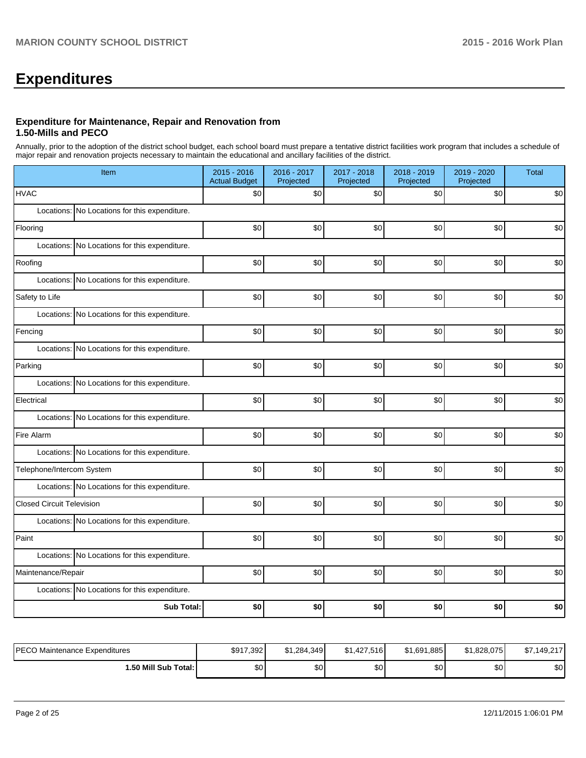# **Expenditures**

#### **Expenditure for Maintenance, Repair and Renovation from 1.50-Mills and PECO**

Annually, prior to the adoption of the district school budget, each school board must prepare a tentative district facilities work program that includes a schedule of major repair and renovation projects necessary to maintain the educational and ancillary facilities of the district.

| Item                             |                                               | $2015 - 2016$<br><b>Actual Budget</b> | 2016 - 2017<br>Projected | 2017 - 2018<br>Projected | 2018 - 2019<br>Projected | 2019 - 2020<br>Projected | <b>Total</b> |  |
|----------------------------------|-----------------------------------------------|---------------------------------------|--------------------------|--------------------------|--------------------------|--------------------------|--------------|--|
| <b>HVAC</b>                      |                                               | \$0                                   | \$0                      | \$0                      | \$0                      | \$0                      | \$0          |  |
|                                  | Locations: No Locations for this expenditure. |                                       |                          |                          |                          |                          |              |  |
| Flooring                         |                                               | \$0                                   | \$0                      | \$0                      | \$0                      | \$0                      | \$0          |  |
|                                  | Locations: No Locations for this expenditure. |                                       |                          |                          |                          |                          |              |  |
| Roofing                          |                                               | \$0                                   | \$0                      | \$0                      | \$0                      | \$0                      | \$0          |  |
|                                  | Locations: No Locations for this expenditure. |                                       |                          |                          |                          |                          |              |  |
| Safety to Life                   |                                               | \$0                                   | \$0                      | \$0                      | \$0                      | \$0                      | \$0          |  |
|                                  | Locations: No Locations for this expenditure. |                                       |                          |                          |                          |                          |              |  |
| Fencing                          |                                               | \$0                                   | \$0                      | \$0                      | \$0                      | \$0                      | \$0          |  |
|                                  | Locations: No Locations for this expenditure. |                                       |                          |                          |                          |                          |              |  |
| Parking                          |                                               | \$0                                   | \$0                      | \$0                      | \$0                      | \$0                      | \$0          |  |
|                                  | Locations: No Locations for this expenditure. |                                       |                          |                          |                          |                          |              |  |
| Electrical                       |                                               | \$0                                   | \$0                      | \$0                      | \$0                      | \$0                      | \$0          |  |
|                                  | Locations: No Locations for this expenditure. |                                       |                          |                          |                          |                          |              |  |
| Fire Alarm                       |                                               | \$0                                   | \$0                      | \$0                      | \$0                      | \$0                      | \$0          |  |
|                                  | Locations: No Locations for this expenditure. |                                       |                          |                          |                          |                          |              |  |
| Telephone/Intercom System        |                                               | \$0                                   | \$0                      | \$0                      | \$0                      | \$0                      | \$0          |  |
|                                  | Locations: No Locations for this expenditure. |                                       |                          |                          |                          |                          |              |  |
| <b>Closed Circuit Television</b> |                                               | \$0                                   | \$0                      | \$0                      | \$0                      | \$0                      | \$0          |  |
|                                  | Locations: No Locations for this expenditure. |                                       |                          |                          |                          |                          |              |  |
| Paint                            |                                               | \$0                                   | \$0                      | \$0                      | \$0                      | \$0                      | \$0          |  |
|                                  | Locations: No Locations for this expenditure. |                                       |                          |                          |                          |                          |              |  |
| Maintenance/Repair               |                                               | \$0                                   | \$0                      | \$0                      | \$0                      | \$0                      | \$0          |  |
|                                  | Locations: No Locations for this expenditure. |                                       |                          |                          |                          |                          |              |  |
|                                  | <b>Sub Total:</b>                             | \$0                                   | \$0                      | \$0                      | \$0                      | \$0                      | \$0          |  |

| IPECO Maintenance Expenditures | \$917,392 | \$1.284.349 | \$1,427,516      | \$1,691,885 | \$1.828.075 | \$7,149,217 |
|--------------------------------|-----------|-------------|------------------|-------------|-------------|-------------|
| i.50 Mill Sub Total: I         | ሶሳ<br>υυ  | ሶሳ<br>งบ    | \$0 <sub>1</sub> | \$0         | \$0         | \$0         |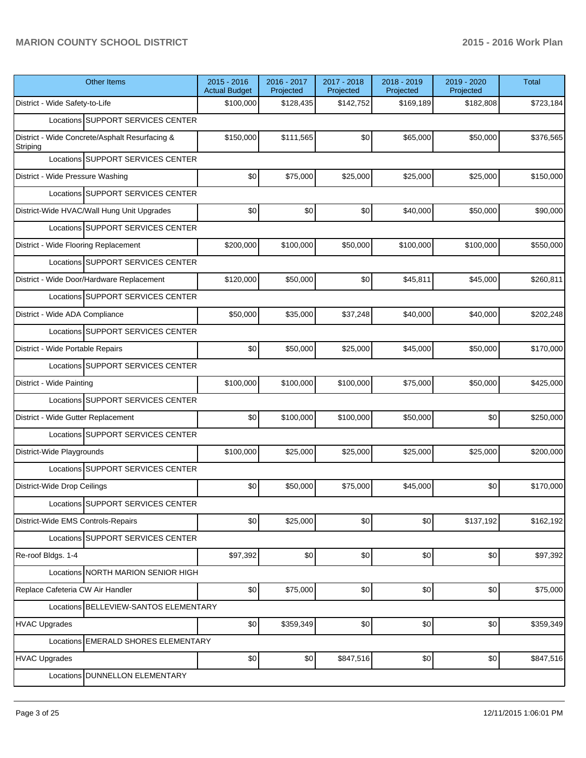| <b>Other Items</b>                                         | $2015 - 2016$<br><b>Actual Budget</b> | 2016 - 2017<br>Projected | 2017 - 2018<br>Projected | 2018 - 2019<br>Projected | 2019 - 2020<br>Projected | <b>Total</b> |
|------------------------------------------------------------|---------------------------------------|--------------------------|--------------------------|--------------------------|--------------------------|--------------|
| District - Wide Safety-to-Life                             | \$100,000                             | \$128,435                | \$142,752                | \$169,189                | \$182,808                | \$723,184    |
| Locations SUPPORT SERVICES CENTER                          |                                       |                          |                          |                          |                          |              |
| District - Wide Concrete/Asphalt Resurfacing &<br>Striping | \$150,000                             | \$111,565                | \$0                      | \$65,000                 | \$50,000                 | \$376,565    |
| Locations SUPPORT SERVICES CENTER                          |                                       |                          |                          |                          |                          |              |
| District - Wide Pressure Washing                           | \$0                                   | \$75,000                 | \$25,000                 | \$25,000                 | \$25,000                 | \$150,000    |
| Locations SUPPORT SERVICES CENTER                          |                                       |                          |                          |                          |                          |              |
| District-Wide HVAC/Wall Hung Unit Upgrades                 | \$0                                   | \$0                      | \$0                      | \$40,000                 | \$50,000                 | \$90,000     |
| Locations SUPPORT SERVICES CENTER                          |                                       |                          |                          |                          |                          |              |
| District - Wide Flooring Replacement                       | \$200,000                             | \$100,000                | \$50,000                 | \$100,000                | \$100,000                | \$550,000    |
| Locations SUPPORT SERVICES CENTER                          |                                       |                          |                          |                          |                          |              |
| District - Wide Door/Hardware Replacement                  | \$120,000                             | \$50,000                 | \$0                      | \$45.811                 | \$45,000                 | \$260,811    |
| Locations SUPPORT SERVICES CENTER                          |                                       |                          |                          |                          |                          |              |
| District - Wide ADA Compliance                             | \$50,000                              | \$35,000                 | \$37,248                 | \$40,000                 | \$40,000                 | \$202,248    |
| Locations SUPPORT SERVICES CENTER                          |                                       |                          |                          |                          |                          |              |
| District - Wide Portable Repairs                           | \$0                                   | \$50,000                 | \$25,000                 | \$45,000                 | \$50,000                 | \$170,000    |
| Locations SUPPORT SERVICES CENTER                          |                                       |                          |                          |                          |                          |              |
| District - Wide Painting                                   | \$100,000                             | \$100,000                | \$100,000                | \$75,000                 | \$50,000                 | \$425,000    |
| Locations SUPPORT SERVICES CENTER                          |                                       |                          |                          |                          |                          |              |
| District - Wide Gutter Replacement                         | \$0                                   | \$100,000                | \$100,000                | \$50,000                 | \$0                      | \$250,000    |
| Locations SUPPORT SERVICES CENTER                          |                                       |                          |                          |                          |                          |              |
| District-Wide Playgrounds                                  | \$100,000                             | \$25,000                 | \$25,000                 | \$25,000                 | \$25,000                 | \$200,000    |
| Locations SUPPORT SERVICES CENTER                          |                                       |                          |                          |                          |                          |              |
| District-Wide Drop Ceilings                                | \$0                                   | \$50,000                 | \$75,000                 | \$45,000                 | \$0                      | \$170,000    |
| Locations SUPPORT SERVICES CENTER                          |                                       |                          |                          |                          |                          |              |
| District-Wide EMS Controls-Repairs                         | \$0                                   | \$25,000                 | \$0                      | \$0                      | \$137,192                | \$162,192    |
| Locations SUPPORT SERVICES CENTER                          |                                       |                          |                          |                          |                          |              |
| Re-roof Bldgs. 1-4                                         | \$97,392                              | \$0]                     | \$0                      | \$0                      | \$0                      | \$97,392     |
| Locations NORTH MARION SENIOR HIGH                         |                                       |                          |                          |                          |                          |              |
| Replace Cafeteria CW Air Handler                           | \$0                                   | \$75,000                 | \$0                      | \$0                      | \$0                      | \$75,000     |
| Locations BELLEVIEW-SANTOS ELEMENTARY                      |                                       |                          |                          |                          |                          |              |
| <b>HVAC Upgrades</b>                                       | \$0                                   | \$359,349                | \$0                      | \$0                      | \$0                      | \$359,349    |
| Locations EMERALD SHORES ELEMENTARY                        |                                       |                          |                          |                          |                          |              |
| <b>HVAC Upgrades</b>                                       | \$0                                   | \$0]                     | \$847,516                | \$0                      | \$0                      | \$847,516    |
| Locations   DUNNELLON ELEMENTARY                           |                                       |                          |                          |                          |                          |              |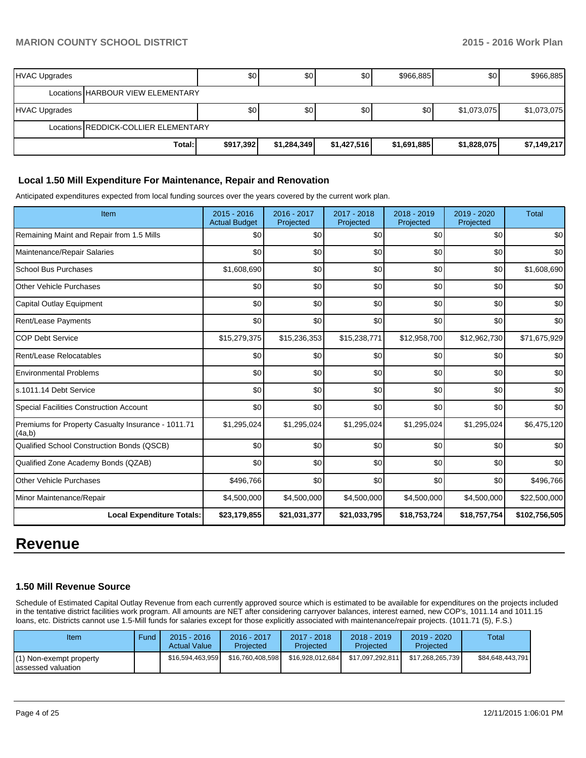| HVAC Upgrades |                                      | \$0       | \$0         | \$0         | \$966,885   | \$0         | \$966,885   |
|---------------|--------------------------------------|-----------|-------------|-------------|-------------|-------------|-------------|
|               | Locations HARBOUR VIEW ELEMENTARY    |           |             |             |             |             |             |
| HVAC Upgrades |                                      | \$0       | \$0         | \$0         | \$0         | \$1,073,075 | \$1,073,075 |
|               | Locations REDDICK-COLLIER ELEMENTARY |           |             |             |             |             |             |
|               | Total:                               | \$917,392 | \$1,284,349 | \$1,427,516 | \$1,691,885 | \$1,828,075 | \$7,149,217 |

#### **Local 1.50 Mill Expenditure For Maintenance, Repair and Renovation**

Anticipated expenditures expected from local funding sources over the years covered by the current work plan.

| Item                                                         | 2015 - 2016<br><b>Actual Budget</b> | 2016 - 2017<br>Projected | 2017 - 2018<br>Projected | 2018 - 2019<br>Projected | 2019 - 2020<br>Projected | <b>Total</b>  |
|--------------------------------------------------------------|-------------------------------------|--------------------------|--------------------------|--------------------------|--------------------------|---------------|
| Remaining Maint and Repair from 1.5 Mills                    | \$0                                 | \$0                      | \$0                      | \$0                      | \$0                      | \$0           |
| Maintenance/Repair Salaries                                  | \$0                                 | \$0                      | \$0                      | \$0                      | \$0                      | \$0           |
| <b>School Bus Purchases</b>                                  | \$1,608,690                         | \$0                      | \$0                      | \$0                      | \$0                      | \$1,608,690   |
| Other Vehicle Purchases                                      | \$0                                 | \$0                      | \$0                      | \$0                      | \$0                      | \$0           |
| Capital Outlay Equipment                                     | \$0                                 | \$0                      | \$0                      | \$0                      | \$0                      | \$0           |
| Rent/Lease Payments                                          | \$0                                 | \$0                      | \$0                      | \$0                      | \$0                      | \$0           |
| <b>COP Debt Service</b>                                      | \$15,279,375                        | \$15,236,353             | \$15,238,771             | \$12,958,700             | \$12,962,730             | \$71,675,929  |
| Rent/Lease Relocatables                                      | \$0                                 | \$0                      | \$0                      | \$0                      | \$0                      | \$0           |
| <b>Environmental Problems</b>                                | \$0                                 | \$0                      | \$0                      | \$0                      | \$0                      | \$0           |
| s.1011.14 Debt Service                                       | \$0                                 | \$0                      | \$0                      | \$0                      | \$0                      | \$0           |
| <b>Special Facilities Construction Account</b>               | \$0                                 | \$0                      | \$0                      | \$0                      | \$0                      | \$0           |
| Premiums for Property Casualty Insurance - 1011.71<br>(4a,b) | \$1,295,024                         | \$1,295,024              | \$1,295,024              | \$1,295,024              | \$1,295,024              | \$6,475,120   |
| Qualified School Construction Bonds (QSCB)                   | \$0                                 | \$0                      | \$0                      | \$0                      | \$0                      | \$0           |
| Qualified Zone Academy Bonds (QZAB)                          | \$0                                 | \$0                      | \$0                      | \$0                      | \$0                      | \$0           |
| <b>Other Vehicle Purchases</b>                               | \$496,766                           | \$0                      | \$0                      | \$0                      | \$0                      | \$496,766     |
| Minor Maintenance/Repair                                     | \$4,500,000                         | \$4,500,000              | \$4,500,000              | \$4,500,000              | \$4,500,000              | \$22,500,000  |
| <b>Local Expenditure Totals:</b>                             | \$23,179,855                        | \$21,031,377             | \$21,033,795             | \$18,753,724             | \$18,757,754             | \$102,756,505 |

# **Revenue**

#### **1.50 Mill Revenue Source**

Schedule of Estimated Capital Outlay Revenue from each currently approved source which is estimated to be available for expenditures on the projects included in the tentative district facilities work program. All amounts are NET after considering carryover balances, interest earned, new COP's, 1011.14 and 1011.15 loans, etc. Districts cannot use 1.5-Mill funds for salaries except for those explicitly associated with maintenance/repair projects. (1011.71 (5), F.S.)

| Item                                          | Fund | $2015 - 2016$<br><b>Actual Value</b> | 2016 - 2017<br>Projected | $2017 - 2018$<br>Projected | 2018 - 2019<br>Projected | $2019 - 2020$<br>Projected | Total            |
|-----------------------------------------------|------|--------------------------------------|--------------------------|----------------------------|--------------------------|----------------------------|------------------|
| (1) Non-exempt property<br>assessed valuation |      | \$16.594.463.959                     | \$16,760,408,598         | \$16,928,012,684           | \$17.097.292.811         | \$17.268.265.739           | \$84,648,443,791 |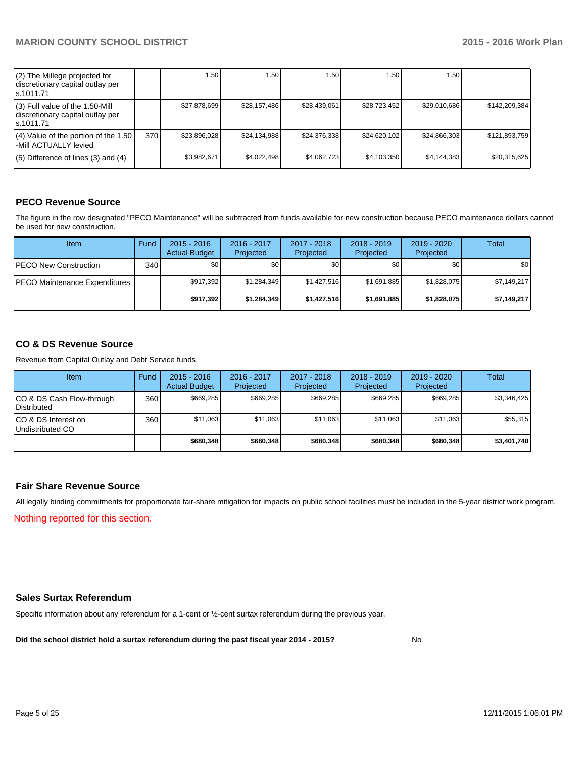| (2) The Millege projected for<br>discretionary capital outlay per<br>s.1011.71    |     | 1.50         | 1.50         | 1.50         | 1.50         | 1.50         |               |
|-----------------------------------------------------------------------------------|-----|--------------|--------------|--------------|--------------|--------------|---------------|
| (3) Full value of the 1.50-Mill<br>discretionary capital outlay per<br>ls.1011.71 |     | \$27,878,699 | \$28,157,486 | \$28,439,061 | \$28,723,452 | \$29,010,686 | \$142,209,384 |
| (4) Value of the portion of the 1.50<br>-Mill ACTUALLY levied                     | 370 | \$23,896,028 | \$24,134,988 | \$24,376,338 | \$24,620,102 | \$24,866,303 | \$121,893,759 |
| $(5)$ Difference of lines (3) and (4)                                             |     | \$3,982,671  | \$4,022,498  | \$4,062,723  | \$4,103,350  | \$4,144,383  | \$20,315,625  |

# **PECO Revenue Source**

The figure in the row designated "PECO Maintenance" will be subtracted from funds available for new construction because PECO maintenance dollars cannot be used for new construction.

| Item                                  | Fund | $2015 - 2016$<br><b>Actual Budget</b> | 2016 - 2017<br>Projected | 2017 - 2018<br>Projected | $2018 - 2019$<br>Projected | $2019 - 2020$<br>Projected | Total            |
|---------------------------------------|------|---------------------------------------|--------------------------|--------------------------|----------------------------|----------------------------|------------------|
| <b>IPECO New Construction</b>         | 340  | \$0                                   | \$0                      | \$0                      | SO I                       | \$0 I                      | \$0 <sub>1</sub> |
| <b>IPECO Maintenance Expenditures</b> |      | \$917,392                             | \$1,284,349              | \$1,427,516              | \$1,691,885                | \$1,828,075                | \$7,149,217      |
|                                       |      | \$917.392                             | \$1,284,349              | \$1,427,516              | \$1,691,885                | \$1,828,075                | \$7,149,217      |

# **CO & DS Revenue Source**

Revenue from Capital Outlay and Debt Service funds.

| Item                                               | Fund | $2015 - 2016$<br><b>Actual Budget</b> | 2016 - 2017<br>Projected | $2017 - 2018$<br>Projected | $2018 - 2019$<br>Projected | $2019 - 2020$<br>Projected | Total       |
|----------------------------------------------------|------|---------------------------------------|--------------------------|----------------------------|----------------------------|----------------------------|-------------|
| ICO & DS Cash Flow-through<br><b>I</b> Distributed | 360  | \$669.285                             | \$669.285                | \$669.285                  | \$669.285                  | \$669.285                  | \$3,346,425 |
| ICO & DS Interest on<br>Undistributed CO           | 360  | \$11,063                              | \$11.063                 | \$11.063                   | \$11.063                   | \$11.063                   | \$55,315    |
|                                                    |      | \$680,348                             | \$680.348                | \$680,348                  | \$680,348                  | \$680,348                  | \$3,401,740 |

#### **Fair Share Revenue Source**

Nothing reported for this section. All legally binding commitments for proportionate fair-share mitigation for impacts on public school facilities must be included in the 5-year district work program.

### **Sales Surtax Referendum**

Specific information about any referendum for a 1-cent or ½-cent surtax referendum during the previous year.

**Did the school district hold a surtax referendum during the past fiscal year 2014 - 2015?**

No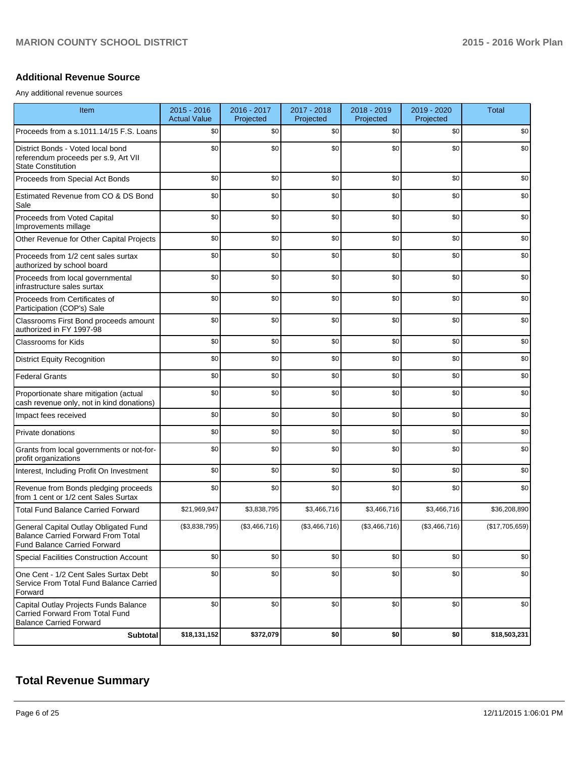### **Additional Revenue Source**

Any additional revenue sources

| Item                                                                                                                      | $2015 - 2016$<br><b>Actual Value</b> | 2016 - 2017<br>Projected | 2017 - 2018<br>Projected | 2018 - 2019<br>Projected | 2019 - 2020<br>Projected | <b>Total</b>   |
|---------------------------------------------------------------------------------------------------------------------------|--------------------------------------|--------------------------|--------------------------|--------------------------|--------------------------|----------------|
| Proceeds from a s.1011.14/15 F.S. Loans                                                                                   | \$0                                  | \$0                      | \$0                      | \$0                      | \$0                      | \$0            |
| District Bonds - Voted local bond<br>referendum proceeds per s.9, Art VII<br><b>State Constitution</b>                    | \$0                                  | \$0                      | \$0                      | \$0                      | \$0                      | \$0            |
| Proceeds from Special Act Bonds                                                                                           | \$0                                  | \$0                      | \$0                      | \$0                      | \$0                      | \$0            |
| Estimated Revenue from CO & DS Bond<br>Sale                                                                               | \$0                                  | \$0                      | \$0                      | \$0                      | \$0                      | \$0            |
| Proceeds from Voted Capital<br>Improvements millage                                                                       | \$0                                  | \$0                      | \$0                      | \$0                      | \$0                      | \$0            |
| Other Revenue for Other Capital Projects                                                                                  | \$0                                  | \$0                      | \$0                      | \$0                      | \$0                      | \$0            |
| Proceeds from 1/2 cent sales surtax<br>authorized by school board                                                         | \$0                                  | \$0                      | \$0                      | \$0                      | \$0                      | \$0            |
| Proceeds from local governmental<br>infrastructure sales surtax                                                           | \$0                                  | \$0                      | \$0                      | \$0                      | \$0                      | \$0            |
| Proceeds from Certificates of<br>Participation (COP's) Sale                                                               | \$0                                  | \$0                      | \$0                      | \$0                      | \$0                      | \$0            |
| Classrooms First Bond proceeds amount<br>authorized in FY 1997-98                                                         | \$0                                  | \$0                      | \$0                      | \$0                      | \$0                      | \$0            |
| <b>Classrooms for Kids</b>                                                                                                | \$0                                  | \$0                      | \$0                      | \$0                      | \$0                      | \$0            |
| <b>District Equity Recognition</b>                                                                                        | \$0                                  | \$0                      | \$0                      | \$0                      | \$0                      | \$0            |
| <b>Federal Grants</b>                                                                                                     | \$0                                  | \$0                      | \$0                      | \$0                      | \$0                      | \$0            |
| Proportionate share mitigation (actual<br>cash revenue only, not in kind donations)                                       | \$0                                  | \$0                      | \$0                      | \$0                      | \$0                      | \$0            |
| Impact fees received                                                                                                      | \$0                                  | \$0                      | \$0                      | \$0                      | \$0                      | \$0            |
| Private donations                                                                                                         | \$0                                  | \$0                      | \$0                      | \$0                      | \$0                      | \$0            |
| Grants from local governments or not-for-<br>profit organizations                                                         | \$0                                  | \$0                      | \$0                      | \$0                      | \$0                      | \$0            |
| Interest, Including Profit On Investment                                                                                  | \$0                                  | \$0                      | \$0                      | \$0                      | \$0                      | \$0            |
| Revenue from Bonds pledging proceeds<br>from 1 cent or 1/2 cent Sales Surtax                                              | \$0                                  | \$0                      | \$0                      | \$0                      | \$0                      | \$0            |
| <b>Total Fund Balance Carried Forward</b>                                                                                 | \$21,969,947                         | \$3,838,795              | \$3,466,716              | \$3,466,716              | \$3,466,716              | \$36,208,890   |
| General Capital Outlay Obligated Fund<br><b>Balance Carried Forward From Total</b><br><b>Fund Balance Carried Forward</b> | (\$3,838,795)                        | (\$3,466,716)            | (\$3,466,716)            | (\$3,466,716)            | (\$3,466,716)            | (\$17,705,659) |
| <b>Special Facilities Construction Account</b>                                                                            | \$0                                  | \$0                      | \$0                      | \$0                      | \$0                      | \$0            |
| One Cent - 1/2 Cent Sales Surtax Debt<br>Service From Total Fund Balance Carried<br>Forward                               | \$0                                  | \$0                      | \$0                      | \$0                      | \$0                      | \$0            |
| Capital Outlay Projects Funds Balance<br>Carried Forward From Total Fund<br><b>Balance Carried Forward</b>                | \$0                                  | \$0                      | \$0                      | \$0                      | \$0                      | \$0            |
| Subtotal                                                                                                                  | \$18,131,152                         | \$372,079                | \$0                      | \$0                      | \$0                      | \$18,503,231   |

# **Total Revenue Summary**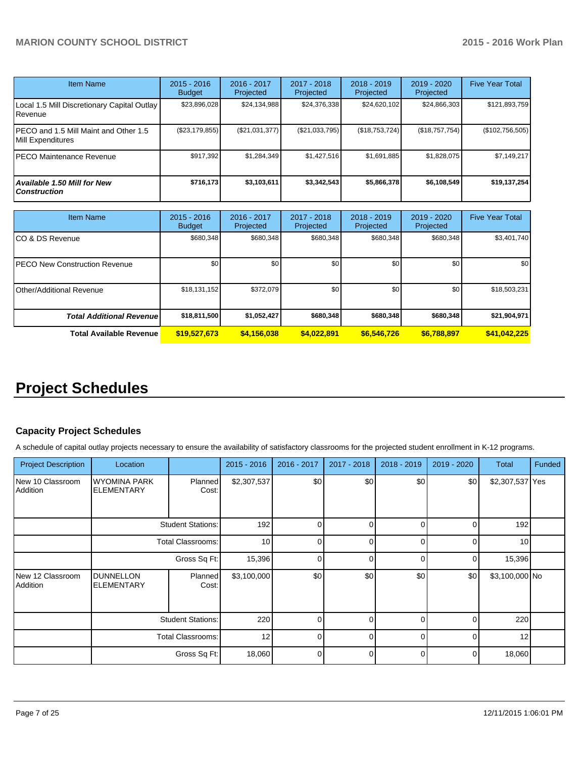| <b>Item Name</b>                                           | $2015 - 2016$<br><b>Budget</b> | 2016 - 2017<br>Projected | 2017 - 2018<br>Projected | $2018 - 2019$<br>Projected | $2019 - 2020$<br>Projected | <b>Five Year Total</b> |
|------------------------------------------------------------|--------------------------------|--------------------------|--------------------------|----------------------------|----------------------------|------------------------|
| Local 1.5 Mill Discretionary Capital Outlay<br>Revenue     | \$23,896,028                   | \$24,134,988             | \$24,376,338             | \$24,620,102               | \$24,866,303               | \$121,893,759          |
| PECO and 1.5 Mill Maint and Other 1.5<br>Mill Expenditures | (\$23,179,855)                 | (S21, 031, 377)          | (\$21,033,795)           | (S18, 753, 724)            | (S18, 757, 754)            | (\$102,756,505)        |
| PECO Maintenance Revenue                                   | \$917.392                      | \$1,284,349              | \$1,427,516              | \$1.691.885                | \$1,828,075                | \$7,149,217            |
| <b>Available 1.50 Mill for New</b><br><b>Construction</b>  | \$716,173                      | \$3,103,611              | \$3,342,543              | \$5,866,378                | \$6.108.549                | \$19,137,254           |

| <b>Item Name</b>                      | $2015 - 2016$<br><b>Budget</b> | $2016 - 2017$<br>Projected | $2017 - 2018$<br>Projected | $2018 - 2019$<br>Projected | 2019 - 2020<br>Projected | <b>Five Year Total</b> |
|---------------------------------------|--------------------------------|----------------------------|----------------------------|----------------------------|--------------------------|------------------------|
| ICO & DS Revenue                      | \$680,348                      | \$680,348                  | \$680.348                  | \$680,348                  | \$680,348                | \$3,401,740            |
| <b>IPECO New Construction Revenue</b> | \$0                            | \$0                        | \$0                        | \$0 <sub>1</sub>           | \$0 <sub>1</sub>         | \$0 <sub>1</sub>       |
| <b>I</b> Other/Additional Revenue     | \$18,131,152                   | \$372,079                  | \$0                        | \$0 <sub>1</sub>           | \$0 <sub>1</sub>         | \$18,503,231           |
| <b>Total Additional Revenuel</b>      | \$18,811,500                   | \$1,052,427                | \$680.348                  | \$680,348                  | \$680,348                | \$21,904,971           |
| <b>Total Available Revenue</b>        | \$19,527,673                   | \$4,156,038                | \$4,022,891                | \$6,546,726                | \$6,788,897              | \$41,042,225           |

# **Project Schedules**

# **Capacity Project Schedules**

A schedule of capital outlay projects necessary to ensure the availability of satisfactory classrooms for the projected student enrollment in K-12 programs.

| <b>Project Description</b>   | Location                                 |                          | 2015 - 2016     | 2016 - 2017 | 2017 - 2018 | 2018 - 2019 | 2019 - 2020  | Total           | <b>Funded</b> |
|------------------------------|------------------------------------------|--------------------------|-----------------|-------------|-------------|-------------|--------------|-----------------|---------------|
| New 10 Classroom<br>Addition | <b>WYOMINA PARK</b><br><b>ELEMENTARY</b> | Planned<br>Cost:         | \$2,307,537     | \$0         | \$0         | \$0         | \$0          | \$2,307,537 Yes |               |
|                              |                                          | <b>Student Stations:</b> | 192             | 0           | 0           | U           | 0            | 192             |               |
|                              |                                          | <b>Total Classrooms:</b> | 10 <sup>1</sup> | ∩           | U           |             | U            | 10              |               |
|                              |                                          | Gross Sq Ft:             | 15,396          | ∩           | C           | ⋂           | O            | 15,396          |               |
| New 12 Classroom<br>Addition | <b>DUNNELLON</b><br><b>ELEMENTARY</b>    | Planned<br>Cost:         | \$3,100,000     | \$0         | \$0         | \$0         | \$0          | \$3,100,000 No  |               |
|                              |                                          | <b>Student Stations:</b> | 220             | U           | U           |             | <sup>0</sup> | 220             |               |
|                              |                                          | <b>Total Classrooms:</b> | 12              | U           | O           | ∩           | U            | 12              |               |
|                              |                                          | Gross Sq Ft:             | 18,060          | U           | $\Omega$    | n           | $\Omega$     | 18,060          |               |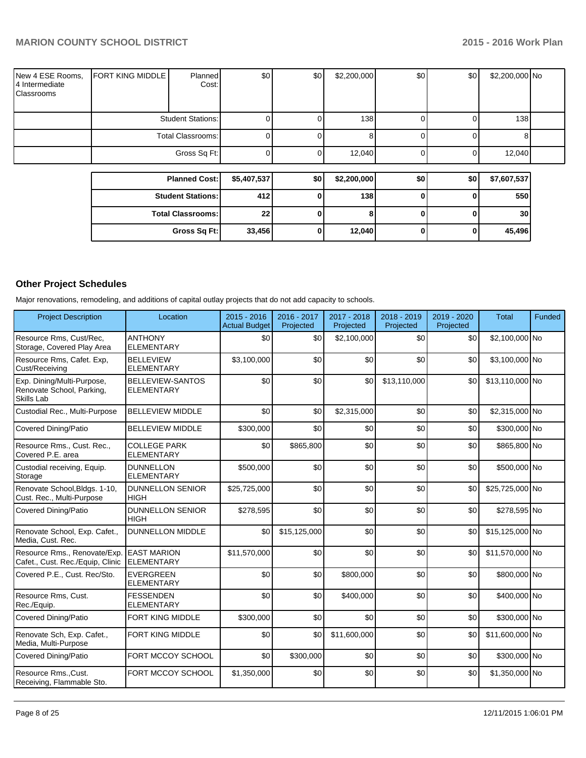|                                                  |                         | <b>Planned Cost:</b> | \$5,407,537 | \$0 | \$2,200,000      | \$0 | \$0 | \$7,607,537      |  |
|--------------------------------------------------|-------------------------|----------------------|-------------|-----|------------------|-----|-----|------------------|--|
|                                                  |                         |                      |             |     |                  |     |     |                  |  |
|                                                  |                         | Gross Sq Ft:         |             |     | 12,040           |     |     | 12,040           |  |
|                                                  |                         | Total Classrooms:    |             |     |                  |     |     | 81               |  |
|                                                  |                         | Student Stations:    |             |     | 138 <sup>l</sup> |     |     | 138 <sup>l</sup> |  |
| New 4 ESE Rooms,<br>4 Intermediate<br>Classrooms | <b>FORT KING MIDDLE</b> | Planned<br>Cost:     | \$0         | \$0 | \$2,200,000      | \$0 | \$0 | \$2,200,000 No   |  |

| ו ומוווטט שטווו            |        | wv | VL.LVV.VVV | wv | vv i | 41,001,001 |
|----------------------------|--------|----|------------|----|------|------------|
| <b>Student Stations: I</b> | 412 l  |    | 138        |    |      | 550        |
| <b>Total Classrooms:</b>   | 22     |    |            |    |      | 30         |
| Gross Sq Ft:               | 33,456 |    | 12,040     |    |      | 45,496     |

# **Other Project Schedules**

Major renovations, remodeling, and additions of capital outlay projects that do not add capacity to schools.

| <b>Project Description</b>                                                   | Location                                     | $2015 - 2016$<br><b>Actual Budget</b> | 2016 - 2017<br>Projected | 2017 - 2018<br>Projected | 2018 - 2019<br>Projected | 2019 - 2020<br>Projected | <b>Total</b>    | Funded |
|------------------------------------------------------------------------------|----------------------------------------------|---------------------------------------|--------------------------|--------------------------|--------------------------|--------------------------|-----------------|--------|
| Resource Rms, Cust/Rec,<br>Storage, Covered Play Area                        | <b>ANTHONY</b><br><b>ELEMENTARY</b>          | \$0                                   | \$0                      | \$2,100,000              | \$0                      | \$0                      | \$2,100,000 No  |        |
| Resource Rms, Cafet. Exp,<br>Cust/Receiving                                  | <b>BELLEVIEW</b><br><b>ELEMENTARY</b>        | \$3,100,000                           | \$0                      | \$0                      | \$0                      | \$0                      | \$3,100,000 No  |        |
| Exp. Dining/Multi-Purpose,<br>Renovate School, Parking,<br><b>Skills Lab</b> | <b>BELLEVIEW-SANTOS</b><br><b>ELEMENTARY</b> | \$0                                   | \$0                      | \$0                      | \$13,110,000             | \$0                      | \$13,110,000 No |        |
| Custodial Rec., Multi-Purpose                                                | <b>BELLEVIEW MIDDLE</b>                      | \$0                                   | \$0                      | \$2,315,000              | \$0                      | \$0                      | \$2,315,000 No  |        |
| Covered Dining/Patio                                                         | <b>BELLEVIEW MIDDLE</b>                      | \$300,000                             | \$0                      | \$0                      | \$0                      | \$0                      | \$300,000 No    |        |
| Resource Rms., Cust. Rec.,<br>Covered P.E. area                              | <b>COLLEGE PARK</b><br><b>ELEMENTARY</b>     | \$0                                   | \$865,800                | \$0                      | \$0                      | \$0                      | \$865,800 No    |        |
| Custodial receiving, Equip.<br>Storage                                       | <b>DUNNELLON</b><br><b>ELEMENTARY</b>        | \$500,000                             | \$0                      | \$0                      | \$0                      | \$0                      | \$500,000 No    |        |
| Renovate School, Bldgs. 1-10,<br>Cust. Rec., Multi-Purpose                   | <b>DUNNELLON SENIOR</b><br><b>HIGH</b>       | \$25,725,000                          | \$0                      | \$0                      | \$0                      | \$0                      | \$25,725,000 No |        |
| Covered Dining/Patio                                                         | <b>DUNNELLON SENIOR</b><br>HIGH              | \$278,595                             | \$0                      | \$0                      | \$0                      | \$0                      | \$278,595 No    |        |
| Renovate School, Exp. Cafet.,<br>Media, Cust. Rec.                           | <b>DUNNELLON MIDDLE</b>                      | \$0                                   | \$15,125,000             | \$0                      | \$0                      | \$0                      | \$15,125,000 No |        |
| Resource Rms., Renovate/Exp.<br>Cafet., Cust. Rec./Equip, Clinic             | <b>EAST MARION</b><br><b>ELEMENTARY</b>      | \$11,570,000                          | \$0                      | \$0                      | \$0                      | \$0                      | \$11,570,000 No |        |
| Covered P.E., Cust. Rec/Sto.                                                 | <b>EVERGREEN</b><br><b>ELEMENTARY</b>        | \$0                                   | \$0                      | \$800,000                | \$0                      | \$0                      | \$800,000 No    |        |
| Resource Rms, Cust.<br>Rec./Equip.                                           | <b>FESSENDEN</b><br><b>ELEMENTARY</b>        | \$0                                   | \$0                      | \$400,000                | \$0                      | \$0                      | \$400,000 No    |        |
| Covered Dining/Patio                                                         | FORT KING MIDDLE                             | \$300,000                             | \$0                      | \$0                      | \$0                      | \$0                      | \$300,000 No    |        |
| Renovate Sch, Exp. Cafet.,<br>Media, Multi-Purpose                           | FORT KING MIDDLE                             | \$0                                   | \$0                      | \$11,600,000             | \$0                      | \$0                      | \$11,600,000 No |        |
| <b>Covered Dining/Patio</b>                                                  | FORT MCCOY SCHOOL                            | \$0                                   | \$300,000                | \$0                      | \$0                      | \$0                      | \$300,000 No    |        |
| Resource RmsCust.<br>Receiving, Flammable Sto.                               | FORT MCCOY SCHOOL                            | \$1,350,000                           | \$0                      | \$0                      | \$0                      | \$0                      | \$1,350,000 No  |        |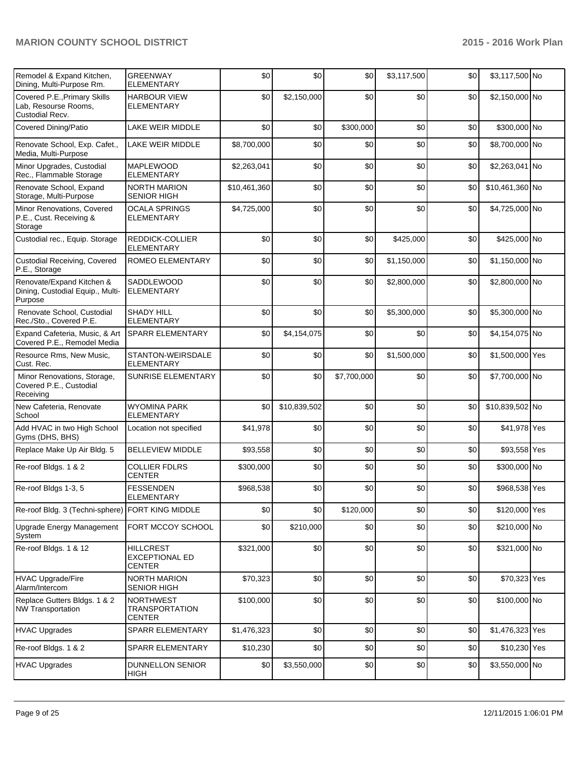| Remodel & Expand Kitchen,<br>Dining, Multi-Purpose Rm.                   | <b>GREENWAY</b><br><b>ELEMENTARY</b>                       | \$0          | \$0          | \$0         | \$3,117,500 | \$0 | \$3,117,500 No  |  |
|--------------------------------------------------------------------------|------------------------------------------------------------|--------------|--------------|-------------|-------------|-----|-----------------|--|
| Covered P.E., Primary Skills<br>Lab, Resourse Rooms,<br>Custodial Recv.  | <b>HARBOUR VIEW</b><br><b>ELEMENTARY</b>                   | \$0          | \$2,150,000  | \$0         | \$0         | \$0 | \$2,150,000 No  |  |
| <b>Covered Dining/Patio</b>                                              | LAKE WEIR MIDDLE                                           | \$0          | \$0          | \$300,000   | \$0         | \$0 | \$300,000 No    |  |
| Renovate School, Exp. Cafet.,<br>Media, Multi-Purpose                    | LAKE WEIR MIDDLE                                           | \$8,700,000  | \$0          | \$0         | \$0         | \$0 | \$8,700,000 No  |  |
| Minor Upgrades, Custodial<br>Rec., Flammable Storage                     | <b>MAPLEWOOD</b><br><b>ELEMENTARY</b>                      | \$2,263,041  | \$0          | \$0         | \$0         | \$0 | \$2,263,041 No  |  |
| Renovate School, Expand<br>Storage, Multi-Purpose                        | <b>NORTH MARION</b><br><b>SENIOR HIGH</b>                  | \$10,461,360 | \$0          | \$0         | \$0         | \$0 | \$10,461,360 No |  |
| Minor Renovations, Covered<br>P.E., Cust. Receiving &<br>Storage         | <b>OCALA SPRINGS</b><br><b>ELEMENTARY</b>                  | \$4,725,000  | \$0          | \$0         | \$0         | \$0 | \$4,725,000 No  |  |
| Custodial rec., Equip. Storage                                           | REDDICK-COLLIER<br><b>ELEMENTARY</b>                       | \$0          | \$0          | \$0         | \$425,000   | \$0 | \$425,000 No    |  |
| <b>Custodial Receiving, Covered</b><br>P.E., Storage                     | <b>ROMEO ELEMENTARY</b>                                    | \$0          | \$0          | \$0         | \$1,150,000 | \$0 | \$1,150,000 No  |  |
| Renovate/Expand Kitchen &<br>Dining, Custodial Equip., Multi-<br>Purpose | SADDLEWOOD<br><b>ELEMENTARY</b>                            | \$0          | \$0          | \$0         | \$2,800,000 | \$0 | \$2,800,000 No  |  |
| Renovate School, Custodial<br>Rec./Sto., Covered P.E.                    | <b>SHADY HILL</b><br><b>ELEMENTARY</b>                     | \$0          | \$0          | \$0         | \$5,300,000 | \$0 | \$5,300,000 No  |  |
| Expand Cafeteria, Music, & Art<br>Covered P.E., Remodel Media            | <b>SPARR ELEMENTARY</b>                                    | \$0          | \$4,154,075  | \$0         | \$0         | \$0 | \$4,154,075 No  |  |
| Resource Rms, New Music,<br>Cust. Rec.                                   | STANTON-WEIRSDALE<br><b>ELEMENTARY</b>                     | \$0          | \$0          | \$0         | \$1,500,000 | \$0 | \$1,500,000 Yes |  |
| Minor Renovations, Storage,<br>Covered P.E., Custodial<br>Receiving      | SUNRISE ELEMENTARY                                         | \$0          | \$0          | \$7,700,000 | \$0         | \$0 | \$7,700,000 No  |  |
| New Cafeteria, Renovate<br>School                                        | <b>WYOMINA PARK</b><br><b>ELEMENTARY</b>                   | \$0          | \$10,839,502 | \$0         | \$0         | \$0 | \$10,839,502 No |  |
| Add HVAC in two High School<br>Gyms (DHS, BHS)                           | Location not specified                                     | \$41,978     | \$0          | \$0         | \$0         | \$0 | \$41,978 Yes    |  |
| Replace Make Up Air Bldg. 5                                              | <b>BELLEVIEW MIDDLE</b>                                    | \$93,558     | \$0          | \$0         | \$0         | \$0 | \$93,558 Yes    |  |
| Re-roof Bldgs. 1 & 2                                                     | <b>COLLIER FDLRS</b><br><b>CENTER</b>                      | \$300,000    | \$0          | \$0         | \$0         | \$0 | \$300,000 No    |  |
| Re-roof Bldgs 1-3, 5                                                     | <b>FESSENDEN</b><br>ELEMENTARY                             | \$968,538    | \$0          | \$0         | \$0         | \$0 | \$968,538 Yes   |  |
| Re-roof Bldg. 3 (Techni-sphere) FORT KING MIDDLE                         |                                                            | \$0          | \$0          | \$120,000   | \$0         | \$0 | \$120,000 Yes   |  |
| Upgrade Energy Management<br>System                                      | FORT MCCOY SCHOOL                                          | \$0          | \$210,000    | \$0         | \$0         | \$0 | \$210,000 No    |  |
| Re-roof Bldgs. 1 & 12                                                    | <b>HILLCREST</b><br><b>EXCEPTIONAL ED</b><br>CENTER        | \$321,000    | \$0          | \$0         | \$0         | \$0 | \$321,000 No    |  |
| <b>HVAC Upgrade/Fire</b><br>Alarm/Intercom                               | <b>NORTH MARION</b><br><b>SENIOR HIGH</b>                  | \$70,323     | \$0          | \$0         | \$0         | \$0 | \$70,323 Yes    |  |
| Replace Gutters Bldgs. 1 & 2<br><b>NW Transportation</b>                 | <b>NORTHWEST</b><br><b>TRANSPORTATION</b><br><b>CENTER</b> | \$100,000    | \$0          | \$0         | \$0         | \$0 | \$100,000 No    |  |
| <b>HVAC Upgrades</b>                                                     | SPARR ELEMENTARY                                           | \$1,476,323  | \$0          | \$0         | \$0         | \$0 | \$1,476,323 Yes |  |
| Re-roof Bldgs. 1 & 2                                                     | SPARR ELEMENTARY                                           | \$10,230     | \$0          | \$0         | \$0         | \$0 | \$10,230 Yes    |  |
| <b>HVAC Upgrades</b>                                                     | DUNNELLON SENIOR<br><b>HIGH</b>                            | \$0          | \$3,550,000  | \$0         | \$0         | \$0 | \$3,550,000 No  |  |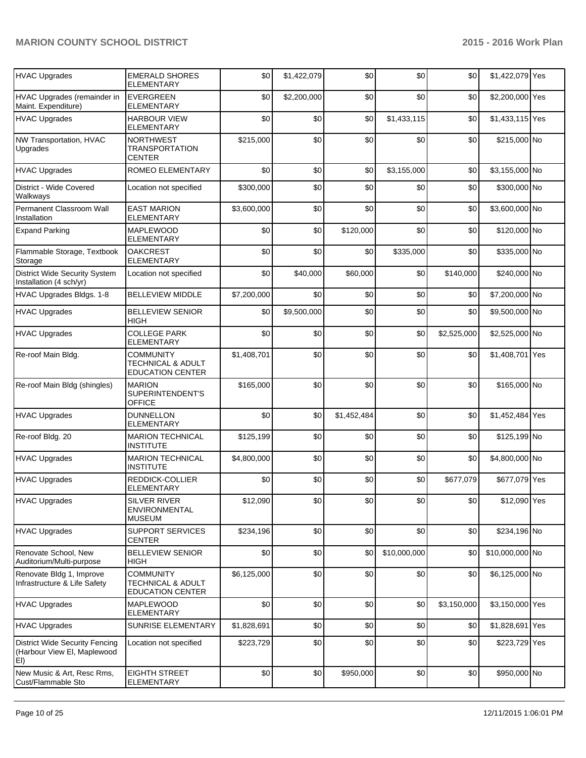| <b>HVAC Upgrades</b>                                                        | <b>EMERALD SHORES</b><br><b>ELEMENTARY</b>                                  | \$0         | \$1,422,079 | \$0         | \$0          | \$0         | \$1,422,079 Yes |  |
|-----------------------------------------------------------------------------|-----------------------------------------------------------------------------|-------------|-------------|-------------|--------------|-------------|-----------------|--|
| HVAC Upgrades (remainder in<br>Maint. Expenditure)                          | <b>EVERGREEN</b><br><b>ELEMENTARY</b>                                       | \$0         | \$2,200,000 | \$0         | \$0          | \$0         | \$2,200,000 Yes |  |
| <b>HVAC Upgrades</b>                                                        | <b>HARBOUR VIEW</b><br><b>ELEMENTARY</b>                                    | \$0         | \$0         | \$0         | \$1,433,115  | \$0         | \$1,433,115 Yes |  |
| NW Transportation, HVAC<br>Upgrades                                         | <b>NORTHWEST</b><br><b>TRANSPORTATION</b><br><b>CENTER</b>                  | \$215,000   | \$0         | \$0         | \$0          | \$0         | \$215,000 No    |  |
| <b>HVAC Upgrades</b>                                                        | ROMEO ELEMENTARY                                                            | \$0         | \$0         | \$0         | \$3,155,000  | \$0         | \$3,155,000 No  |  |
| District - Wide Covered<br>Walkways                                         | Location not specified                                                      | \$300,000   | \$0         | \$0         | \$0          | \$0         | \$300,000 No    |  |
| Permanent Classroom Wall<br>Installation                                    | <b>EAST MARION</b><br><b>ELEMENTARY</b>                                     | \$3,600,000 | \$0         | \$0         | \$0          | \$0         | \$3,600,000 No  |  |
| <b>Expand Parking</b>                                                       | <b>MAPLEWOOD</b><br>ELEMENTARY                                              | \$0         | \$0         | \$120,000   | \$0          | \$0         | \$120,000 No    |  |
| Flammable Storage, Textbook<br>Storage                                      | <b>OAKCREST</b><br><b>ELEMENTARY</b>                                        | \$0         | \$0         | \$0         | \$335,000    | \$0         | \$335,000 No    |  |
| <b>District Wide Security System</b><br>Installation (4 sch/yr)             | Location not specified                                                      | \$0         | \$40,000    | \$60,000    | \$0          | \$140,000   | \$240,000 No    |  |
| HVAC Upgrades Bldgs. 1-8                                                    | <b>BELLEVIEW MIDDLE</b>                                                     | \$7,200,000 | \$0         | \$0         | \$0          | \$0         | \$7,200,000 No  |  |
| <b>HVAC Upgrades</b>                                                        | <b>BELLEVIEW SENIOR</b><br><b>HIGH</b>                                      | \$0         | \$9,500,000 | \$0         | \$0          | \$0         | \$9,500,000 No  |  |
| <b>HVAC Upgrades</b>                                                        | <b>COLLEGE PARK</b><br><b>ELEMENTARY</b>                                    | \$0         | \$0         | \$0         | \$0          | \$2,525,000 | \$2,525,000 No  |  |
| Re-roof Main Bldg.                                                          | <b>COMMUNITY</b><br><b>TECHNICAL &amp; ADULT</b><br><b>EDUCATION CENTER</b> | \$1,408,701 | \$0         | \$0         | \$0          | \$0         | \$1,408,701 Yes |  |
| Re-roof Main Bldg (shingles)                                                | <b>MARION</b><br>SUPERINTENDENT'S<br><b>OFFICE</b>                          | \$165,000   | \$0         | \$0         | \$0          | \$0         | \$165,000 No    |  |
| <b>HVAC Upgrades</b>                                                        | <b>DUNNELLON</b><br><b>ELEMENTARY</b>                                       | \$0         | \$0         | \$1,452,484 | \$0          | \$0         | \$1,452,484 Yes |  |
| Re-roof Bldg. 20                                                            | <b>MARION TECHNICAL</b><br><b>INSTITUTE</b>                                 | \$125,199   | \$0         | \$0         | \$0          | \$0         | \$125,199 No    |  |
| <b>HVAC Upgrades</b>                                                        | <b>MARION TECHNICAL</b><br><b>INSTITUTE</b>                                 | \$4,800,000 | \$0         | \$0         | \$0          | \$0         | \$4,800,000 No  |  |
| <b>HVAC Upgrades</b>                                                        | REDDICK-COLLIER<br><b>ELEMENTARY</b>                                        | \$0         | \$0         | \$0         | \$0          | \$677,079   | \$677,079 Yes   |  |
| HVAC Upgrades                                                               | <b>SILVER RIVER</b><br>ENVIRONMENTAL<br><b>MUSEUM</b>                       | \$12,090    | \$0         | \$0         | \$0          | \$0         | \$12,090 Yes    |  |
| HVAC Upgrades                                                               | <b>SUPPORT SERVICES</b><br><b>CENTER</b>                                    | \$234,196   | \$0         | \$0         | \$0          | \$0         | \$234,196 No    |  |
| Renovate School, New<br>Auditorium/Multi-purpose                            | <b>BELLEVIEW SENIOR</b><br>HIGH                                             | \$0         | \$0         | \$0         | \$10,000,000 | \$0         | \$10,000,000 No |  |
| Renovate Bldg 1, Improve<br>Infrastructure & Life Safety                    | <b>COMMUNITY</b><br><b>TECHNICAL &amp; ADULT</b><br><b>EDUCATION CENTER</b> | \$6,125,000 | \$0         | \$0         | \$0          | \$0         | \$6,125,000 No  |  |
| <b>HVAC Upgrades</b>                                                        | MAPLEWOOD<br>ELEMENTARY                                                     | \$0         | \$0         | \$0         | \$0          | \$3,150,000 | \$3,150,000 Yes |  |
| <b>HVAC Upgrades</b>                                                        | SUNRISE ELEMENTARY                                                          | \$1,828,691 | \$0         | \$0         | \$0          | \$0         | \$1,828,691 Yes |  |
| <b>District Wide Security Fencing</b><br>(Harbour View EI, Maplewood<br>EI) | Location not specified                                                      | \$223,729   | \$0         | \$0         | \$0          | \$0         | \$223,729 Yes   |  |
| New Music & Art, Resc Rms,<br>Cust/Flammable Sto                            | <b>EIGHTH STREET</b><br>ELEMENTARY                                          | \$0         | \$0         | \$950,000   | \$0          | \$0         | \$950,000 No    |  |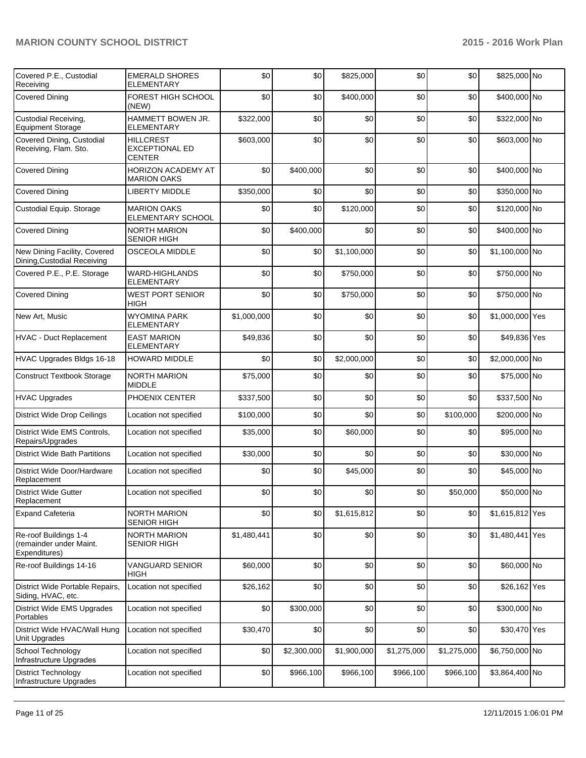| Covered P.E., Custodial<br>Receiving                              | <b>EMERALD SHORES</b><br>ELEMENTARY                        | \$0         | \$0         | \$825,000   | \$0         | \$0         | \$825,000 No    |  |
|-------------------------------------------------------------------|------------------------------------------------------------|-------------|-------------|-------------|-------------|-------------|-----------------|--|
| <b>Covered Dining</b>                                             | FOREST HIGH SCHOOL<br>(NEW)                                | \$0         | \$0         | \$400,000   | \$0         | \$0         | \$400,000 No    |  |
| Custodial Receiving,<br><b>Equipment Storage</b>                  | HAMMETT BOWEN JR.<br><b>ELEMENTARY</b>                     | \$322,000   | \$0         | \$0         | \$0         | \$0         | \$322,000 No    |  |
| Covered Dining, Custodial<br>Receiving, Flam. Sto.                | <b>HILLCREST</b><br><b>EXCEPTIONAL ED</b><br><b>CENTER</b> | \$603,000   | \$0         | \$0         | \$0         | \$0         | \$603,000 No    |  |
| <b>Covered Dining</b>                                             | <b>HORIZON ACADEMY AT</b><br><b>MARION OAKS</b>            | \$0         | \$400,000   | \$0         | \$0         | \$0         | \$400,000 No    |  |
| <b>Covered Dining</b>                                             | <b>LIBERTY MIDDLE</b>                                      | \$350,000   | \$0         | \$0         | \$0         | \$0         | \$350,000 No    |  |
| Custodial Equip. Storage                                          | <b>MARION OAKS</b><br>ELEMENTARY SCHOOL                    | \$0         | \$0         | \$120,000   | \$0         | \$0         | \$120,000 No    |  |
| <b>Covered Dining</b>                                             | <b>NORTH MARION</b><br>SENIOR HIGH                         | \$0         | \$400,000   | \$0         | \$0         | \$0         | \$400,000 No    |  |
| New Dining Facility, Covered<br>Dining, Custodial Receiving       | <b>OSCEOLA MIDDLE</b>                                      | \$0         | \$0         | \$1,100,000 | \$0         | \$0         | \$1,100,000 No  |  |
| Covered P.E., P.E. Storage                                        | <b>WARD-HIGHLANDS</b><br><b>ELEMENTARY</b>                 | \$0         | \$0         | \$750,000   | \$0         | \$0         | \$750,000 No    |  |
| <b>Covered Dining</b>                                             | <b>WEST PORT SENIOR</b><br>HIGH                            | \$0         | \$0         | \$750,000   | \$0         | \$0         | \$750,000 No    |  |
| New Art, Music                                                    | <b>WYOMINA PARK</b><br>ELEMENTARY                          | \$1,000,000 | \$0         | \$0         | \$0         | \$0         | \$1,000,000 Yes |  |
| HVAC - Duct Replacement                                           | <b>EAST MARION</b><br><b>ELEMENTARY</b>                    | \$49,836    | \$0         | \$0         | \$0         | \$0         | \$49,836 Yes    |  |
| HVAC Upgrades Bldgs 16-18                                         | <b>HOWARD MIDDLE</b>                                       | \$0         | \$0         | \$2,000,000 | \$0         | \$0         | \$2,000,000 No  |  |
| <b>Construct Textbook Storage</b>                                 | <b>NORTH MARION</b><br>MIDDLE                              | \$75,000    | \$0         | \$0         | \$0         | \$0         | \$75,000 No     |  |
| <b>HVAC Upgrades</b>                                              | PHOENIX CENTER                                             | \$337,500   | \$0         | \$0         | \$0         | \$0         | \$337,500 No    |  |
| District Wide Drop Ceilings                                       | Location not specified                                     | \$100,000   | \$0         | \$0         | \$0         | \$100,000   | \$200,000 No    |  |
| District Wide EMS Controls,<br>Repairs/Upgrades                   | Location not specified                                     | \$35,000    | \$0         | \$60,000    | \$0         | \$0         | \$95,000 No     |  |
| <b>District Wide Bath Partitions</b>                              | Location not specified                                     | \$30,000    | \$0         | \$0         | \$0         | \$0         | \$30,000 No     |  |
| District Wide Door/Hardware<br>Replacement                        | Location not specified                                     | \$0         | \$0         | \$45,000    | \$0         | \$0         | \$45,000 No     |  |
| <b>District Wide Gutter</b><br>Replacement                        | Location not specified                                     | \$0         | \$0         | \$0         | \$0         | \$50,000    | \$50,000 No     |  |
| <b>Expand Cafeteria</b>                                           | <b>NORTH MARION</b><br><b>SENIOR HIGH</b>                  | \$0         | \$0         | \$1,615,812 | \$0         | \$0         | \$1,615,812 Yes |  |
| Re-roof Buildings 1-4<br>(remainder under Maint.<br>Expenditures) | NORTH MARION<br><b>SENIOR HIGH</b>                         | \$1,480,441 | \$0         | \$0         | \$0         | \$0         | \$1,480,441 Yes |  |
| Re-roof Buildings 14-16                                           | <b>VANGUARD SENIOR</b><br>HIGH                             | \$60,000    | \$0         | \$0         | \$0         | \$0         | \$60,000 No     |  |
| District Wide Portable Repairs,<br>Siding, HVAC, etc.             | Location not specified                                     | \$26,162    | \$0         | \$0         | \$0         | \$0         | \$26,162 Yes    |  |
| <b>District Wide EMS Upgrades</b><br>Portables                    | Location not specified                                     | \$0         | \$300,000   | \$0         | \$0         | \$0         | \$300,000 No    |  |
| District Wide HVAC/Wall Hung<br>Unit Upgrades                     | Location not specified                                     | \$30,470    | \$0         | \$0         | \$0         | \$0         | \$30,470 Yes    |  |
| School Technology<br>Infrastructure Upgrades                      | Location not specified                                     | \$0         | \$2,300,000 | \$1,900,000 | \$1,275,000 | \$1,275,000 | \$6,750,000 No  |  |
| <b>District Technology</b><br>Infrastructure Upgrades             | Location not specified                                     | \$0         | \$966,100   | \$966,100   | \$966,100   | \$966,100   | \$3,864,400 No  |  |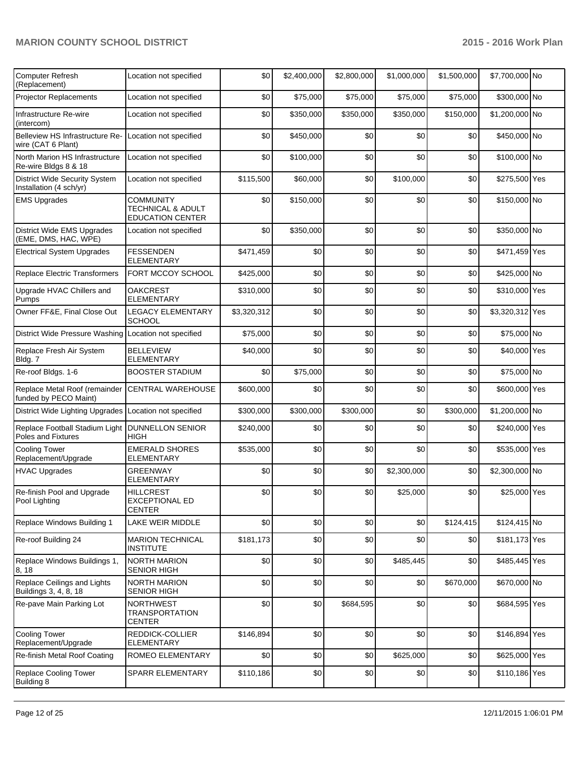| <b>Computer Refresh</b><br>(Replacement)                                | Location not specified                                           | \$0         | \$2,400,000 | \$2,800,000 | \$1,000,000 | \$1,500,000 | \$7,700,000 No  |  |
|-------------------------------------------------------------------------|------------------------------------------------------------------|-------------|-------------|-------------|-------------|-------------|-----------------|--|
| <b>Projector Replacements</b>                                           | Location not specified                                           | \$0         | \$75,000    | \$75,000    | \$75,000    | \$75,000    | \$300,000 No    |  |
| Infrastructure Re-wire<br>(intercom)                                    | Location not specified                                           | \$0         | \$350,000   | \$350,000   | \$350,000   | \$150,000   | \$1,200,000 No  |  |
| Belleview HS Infrastructure Re-<br>wire (CAT 6 Plant)                   | Location not specified                                           | \$0         | \$450,000   | \$0         | \$0         | \$0         | \$450,000 No    |  |
| North Marion HS Infrastructure<br>Re-wire Bldgs 8 & 18                  | Location not specified                                           | \$0         | \$100,000   | \$0         | \$0         | \$0         | \$100,000 No    |  |
| <b>District Wide Security System</b><br>Installation (4 sch/yr)         | Location not specified                                           | \$115,500   | \$60,000    | \$0         | \$100,000   | \$0         | \$275,500 Yes   |  |
| <b>EMS Upgrades</b>                                                     | <b>COMMUNITY</b><br>TECHNICAL & ADULT<br><b>EDUCATION CENTER</b> | \$0         | \$150,000   | \$0         | \$0         | \$0         | \$150,000 No    |  |
| <b>District Wide EMS Upgrades</b><br>(EME, DMS, HAC, WPE)               | Location not specified                                           | \$0         | \$350,000   | \$0         | \$0         | \$0         | \$350,000 No    |  |
| <b>Electrical System Upgrades</b>                                       | <b>FESSENDEN</b><br><b>ELEMENTARY</b>                            | \$471,459   | \$0         | \$0         | \$0         | \$0         | \$471,459 Yes   |  |
| Replace Electric Transformers                                           | FORT MCCOY SCHOOL                                                | \$425,000   | \$0         | \$0         | \$0         | \$0         | \$425,000 No    |  |
| Upgrade HVAC Chillers and<br>Pumps                                      | <b>OAKCREST</b><br><b>ELEMENTARY</b>                             | \$310,000   | \$0         | \$0         | \$0         | \$0         | \$310,000 Yes   |  |
| Owner FF&E, Final Close Out                                             | <b>LEGACY ELEMENTARY</b><br><b>SCHOOL</b>                        | \$3,320,312 | \$0         | \$0         | \$0         | \$0         | \$3,320,312 Yes |  |
| District Wide Pressure Washing Location not specified                   |                                                                  | \$75,000    | \$0         | \$0         | \$0         | \$0         | \$75,000 No     |  |
| Replace Fresh Air System<br>Bldg. 7                                     | <b>BELLEVIEW</b><br>ELEMENTARY                                   | \$40,000    | \$0         | \$0         | \$0         | \$0         | \$40,000 Yes    |  |
| Re-roof Bldgs. 1-6                                                      | <b>BOOSTER STADIUM</b>                                           | \$0         | \$75,000    | \$0         | \$0         | \$0         | \$75,000 No     |  |
| Replace Metal Roof (remainder<br>funded by PECO Maint)                  | <b>CENTRAL WAREHOUSE</b>                                         | \$600,000   | \$0         | \$0         | \$0         | \$0         | \$600,000 Yes   |  |
| District Wide Lighting Upgrades Location not specified                  |                                                                  | \$300,000   | \$300,000   | \$300,000   | \$0         | \$300,000   | \$1,200,000 No  |  |
| Replace Football Stadium Light   DUNNELLON SENIOR<br>Poles and Fixtures | HIGH                                                             | \$240,000   | \$0         | \$0         | \$0         | \$0         | \$240,000 Yes   |  |
| <b>Cooling Tower</b><br>Replacement/Upgrade                             | <b>EMERALD SHORES</b><br>ELEMENTARY                              | \$535,000   | \$0         | \$0         | \$0         | \$0         | \$535,000 Yes   |  |
| <b>HVAC Upgrades</b>                                                    | <b>GREENWAY</b><br><b>ELEMENTARY</b>                             | \$0         | \$0         | \$0         | \$2,300,000 | \$0         | \$2,300,000 No  |  |
| Re-finish Pool and Upgrade<br>Pool Lighting                             | <b>HILLCREST</b><br>EXCEPTIONAL ED<br><b>CENTER</b>              | \$0         | \$0         | \$0         | \$25,000    | \$0         | \$25,000 Yes    |  |
| Replace Windows Building 1                                              | LAKE WEIR MIDDLE                                                 | \$0         | \$0         | \$0         | \$0         | \$124,415   | \$124,415 No    |  |
| Re-roof Building 24                                                     | <b>MARION TECHNICAL</b><br><b>INSTITUTE</b>                      | \$181,173   | \$0         | \$0         | \$0         | \$0         | \$181,173 Yes   |  |
| Replace Windows Buildings 1,<br>8, 18                                   | NORTH MARION<br><b>SENIOR HIGH</b>                               | \$0         | \$0         | \$0         | \$485,445   | \$0         | \$485,445 Yes   |  |
| Replace Ceilings and Lights<br>Buildings 3, 4, 8, 18                    | <b>NORTH MARION</b><br><b>SENIOR HIGH</b>                        | \$0         | \$0         | \$0         | \$0         | \$670,000   | \$670,000 No    |  |
| Re-pave Main Parking Lot                                                | <b>NORTHWEST</b><br><b>TRANSPORTATION</b><br>CENTER              | \$0         | \$0         | \$684,595   | \$0         | \$0         | \$684,595 Yes   |  |
| <b>Cooling Tower</b><br>Replacement/Upgrade                             | REDDICK-COLLIER<br>ELEMENTARY                                    | \$146,894   | \$0         | \$0         | \$0         | \$0         | \$146,894 Yes   |  |
| Re-finish Metal Roof Coating                                            | ROMEO ELEMENTARY                                                 | \$0         | \$0         | \$0         | \$625,000   | \$0         | \$625,000 Yes   |  |
| Replace Cooling Tower<br>Building 8                                     | SPARR ELEMENTARY                                                 | \$110,186   | \$0         | \$0         | \$0         | \$0         | \$110,186 Yes   |  |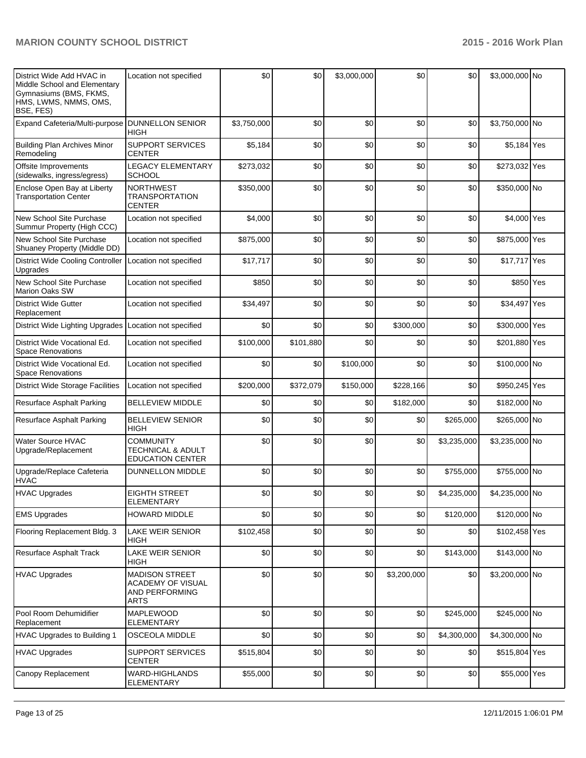| District Wide Add HVAC in<br>Middle School and Elementary<br>Gymnasiums (BMS, FKMS,<br>HMS, LWMS, NMMS, OMS,<br><b>BSE, FES)</b> | Location not specified                                                             | \$0         | \$0       | \$3,000,000 | \$0         | \$0         | \$3,000,000 No |  |
|----------------------------------------------------------------------------------------------------------------------------------|------------------------------------------------------------------------------------|-------------|-----------|-------------|-------------|-------------|----------------|--|
| Expand Cafeteria/Multi-purpose                                                                                                   | <b>DUNNELLON SENIOR</b><br><b>HIGH</b>                                             | \$3,750,000 | \$0       | \$0         | \$0         | \$0         | \$3,750,000 No |  |
| <b>Building Plan Archives Minor</b><br>Remodeling                                                                                | <b>SUPPORT SERVICES</b><br><b>CENTER</b>                                           | \$5,184     | \$0       | \$0         | \$0         | \$0         | \$5,184 Yes    |  |
| Offsite Improvements<br>(sidewalks, ingress/egress)                                                                              | <b>LEGACY ELEMENTARY</b><br><b>SCHOOL</b>                                          | \$273,032   | \$0       | \$0         | \$0         | \$0         | \$273,032 Yes  |  |
| Enclose Open Bay at Liberty<br><b>Transportation Center</b>                                                                      | <b>NORTHWEST</b><br><b>TRANSPORTATION</b><br><b>CENTER</b>                         | \$350,000   | \$0       | \$0         | \$0         | \$0         | \$350,000 No   |  |
| New School Site Purchase<br>Summur Property (High CCC)                                                                           | Location not specified                                                             | \$4,000     | \$0       | \$0         | \$0         | \$0         | \$4,000 Yes    |  |
| New School Site Purchase<br>Shuaney Property (Middle DD)                                                                         | Location not specified                                                             | \$875,000   | \$0       | \$0         | \$0         | \$0         | \$875,000 Yes  |  |
| District Wide Cooling Controller<br>Upgrades                                                                                     | Location not specified                                                             | \$17,717    | \$0       | \$0         | \$0         | \$0         | \$17,717 Yes   |  |
| New School Site Purchase<br><b>Marion Oaks SW</b>                                                                                | Location not specified                                                             | \$850       | \$0       | \$0         | \$0         | \$0         | \$850 Yes      |  |
| <b>District Wide Gutter</b><br>Replacement                                                                                       | Location not specified                                                             | \$34,497    | \$0       | \$0         | \$0         | \$0         | \$34,497 Yes   |  |
| District Wide Lighting Upgrades                                                                                                  | Location not specified                                                             | \$0         | \$0       | \$0         | \$300,000   | \$0         | \$300,000 Yes  |  |
| District Wide Vocational Ed.<br><b>Space Renovations</b>                                                                         | Location not specified                                                             | \$100,000   | \$101,880 | \$0         | \$0         | \$0         | \$201,880 Yes  |  |
| District Wide Vocational Ed.<br><b>Space Renovations</b>                                                                         | Location not specified                                                             | \$0         | \$0       | \$100,000   | \$0         | \$0         | \$100,000 No   |  |
| <b>District Wide Storage Facilities</b>                                                                                          | Location not specified                                                             | \$200,000   | \$372,079 | \$150,000   | \$228,166   | \$0         | \$950,245 Yes  |  |
| Resurface Asphalt Parking                                                                                                        | <b>BELLEVIEW MIDDLE</b>                                                            | \$0         | \$0       | \$0         | \$182,000   | \$0         | \$182,000 No   |  |
| Resurface Asphalt Parking                                                                                                        | <b>BELLEVIEW SENIOR</b><br><b>HIGH</b>                                             | \$0         | \$0       | \$0         | \$0         | \$265,000   | \$265,000 No   |  |
| <b>Water Source HVAC</b><br>Upgrade/Replacement                                                                                  | <b>COMMUNITY</b><br><b>TECHNICAL &amp; ADULT</b><br><b>EDUCATION CENTER</b>        | \$0         | \$0       | \$0         | \$0         | \$3,235,000 | \$3,235,000 No |  |
| Upgrade/Replace Cafeteria<br><b>HVAC</b>                                                                                         | <b>DUNNELLON MIDDLE</b>                                                            | \$0         | \$0       | \$0         | \$0         | \$755,000   | \$755,000 No   |  |
| <b>HVAC Upgrades</b>                                                                                                             | <b>EIGHTH STREET</b><br><b>ELEMENTARY</b>                                          | \$0         | \$0       | \$0         | \$0         | \$4,235,000 | \$4,235,000 No |  |
| <b>EMS Upgrades</b>                                                                                                              | <b>HOWARD MIDDLE</b>                                                               | \$0         | \$0       | \$0         | \$0         | \$120,000   | \$120,000 No   |  |
| Flooring Replacement Bldg. 3                                                                                                     | LAKE WEIR SENIOR<br><b>HIGH</b>                                                    | \$102,458   | \$0       | \$0         | \$0         | \$0         | \$102,458 Yes  |  |
| Resurface Asphalt Track                                                                                                          | LAKE WEIR SENIOR<br>HIGH                                                           | \$0         | \$0       | \$0         | \$0         | \$143,000   | \$143,000 No   |  |
| HVAC Upgrades                                                                                                                    | <b>MADISON STREET</b><br>ACADEMY OF VISUAL<br><b>AND PERFORMING</b><br><b>ARTS</b> | \$0         | \$0       | \$0         | \$3,200,000 | \$0         | \$3,200,000 No |  |
| Pool Room Dehumidifier<br>Replacement                                                                                            | <b>MAPLEWOOD</b><br><b>ELEMENTARY</b>                                              | \$0         | \$0       | \$0         | \$0         | \$245,000   | \$245,000 No   |  |
| <b>HVAC Upgrades to Building 1</b>                                                                                               | OSCEOLA MIDDLE                                                                     | \$0         | \$0       | \$0         | \$0         | \$4,300,000 | \$4,300,000 No |  |
| <b>HVAC Upgrades</b>                                                                                                             | <b>SUPPORT SERVICES</b><br><b>CENTER</b>                                           | \$515,804   | \$0       | \$0         | \$0         | \$0         | \$515,804 Yes  |  |
| Canopy Replacement                                                                                                               | WARD-HIGHLANDS<br><b>ELEMENTARY</b>                                                | \$55,000    | \$0       | \$0         | \$0         | \$0         | \$55,000 Yes   |  |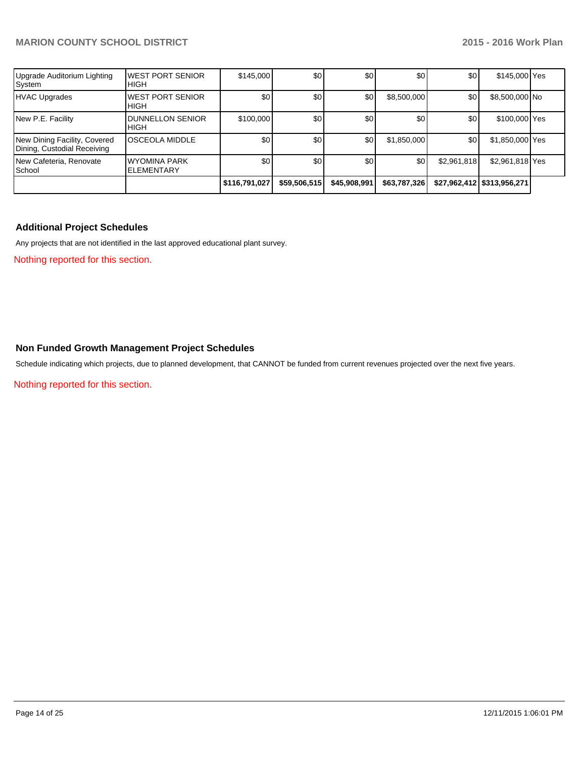| Upgrade Auditorium Lighting<br>System                       | IWEST PORT SENIOR<br><b>HIGH</b>       | \$145,000        | \$0          | \$0          | \$0          | \$0         | \$145,000 Yes                |  |
|-------------------------------------------------------------|----------------------------------------|------------------|--------------|--------------|--------------|-------------|------------------------------|--|
| <b>HVAC Upgrades</b>                                        | <b>WEST PORT SENIOR</b><br><b>HIGH</b> | \$0              | \$0          | \$0          | \$8,500,000  | \$0         | \$8,500,000 No               |  |
| New P.E. Facility                                           | <b>DUNNELLON SENIOR</b><br><b>HIGH</b> | \$100,000        | \$0          | \$0          | \$0          | \$0         | \$100,000 Yes                |  |
| New Dining Facility, Covered<br>Dining, Custodial Receiving | OSCEOLA MIDDLE                         | \$0              | \$0          | \$0          | \$1,850,000  | \$0         | \$1,850,000 Yes              |  |
| New Cafeteria, Renovate<br>School                           | WYOMINA PARK<br><b>ELEMENTARY</b>      | \$0 <sub>1</sub> | \$0          | \$0          | \$0          | \$2,961,818 | \$2,961,818 Yes              |  |
|                                                             |                                        | \$116,791,027    | \$59,506,515 | \$45,908,991 | \$63,787,326 |             | \$27,962,412   \$313,956,271 |  |

# **Additional Project Schedules**

Any projects that are not identified in the last approved educational plant survey.

Nothing reported for this section.

# **Non Funded Growth Management Project Schedules**

Schedule indicating which projects, due to planned development, that CANNOT be funded from current revenues projected over the next five years.

Nothing reported for this section.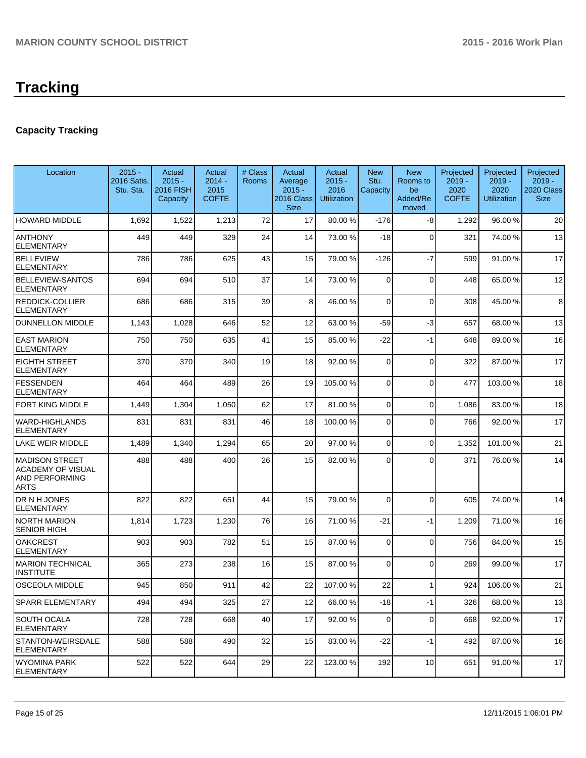# **Capacity Tracking**

| Location                                                                           | $2015 -$                 | Actual                                   | Actual                           | # Class | Actual                                           | Actual                                 | <b>New</b>       | <b>New</b>                          | Projected                        | Projected                              | Projected                             |
|------------------------------------------------------------------------------------|--------------------------|------------------------------------------|----------------------------------|---------|--------------------------------------------------|----------------------------------------|------------------|-------------------------------------|----------------------------------|----------------------------------------|---------------------------------------|
|                                                                                    | 2016 Satis.<br>Stu. Sta. | $2015 -$<br><b>2016 FISH</b><br>Capacity | $2014 -$<br>2015<br><b>COFTE</b> | Rooms   | Average<br>$2015 -$<br>2016 Class<br><b>Size</b> | $2015 -$<br>2016<br><b>Utilization</b> | Stu.<br>Capacity | Rooms to<br>be<br>Added/Re<br>moved | $2019 -$<br>2020<br><b>COFTE</b> | $2019 -$<br>2020<br><b>Utilization</b> | $2019 -$<br>2020 Class<br><b>Size</b> |
| <b>HOWARD MIDDLE</b>                                                               | 1,692                    | 1,522                                    | 1,213                            | 72      | 17                                               | 80.00 %                                | $-176$           | -8                                  | 1,292                            | 96.00%                                 | 20                                    |
| <b>ANTHONY</b><br><b>ELEMENTARY</b>                                                | 449                      | 449                                      | 329                              | 24      | 14                                               | 73.00 %                                | $-18$            | $\Omega$                            | 321                              | 74.00%                                 | 13                                    |
| <b>BELLEVIEW</b><br>ELEMENTARY                                                     | 786                      | 786                                      | 625                              | 43      | 15                                               | 79.00 %                                | $-126$           | $-7$                                | 599                              | 91.00%                                 | 17                                    |
| <b>BELLEVIEW-SANTOS</b><br><b>ELEMENTARY</b>                                       | 694                      | 694                                      | 510                              | 37      | 14                                               | 73.00 %                                | 0                | $\Omega$                            | 448                              | 65.00%                                 | 12                                    |
| <b>REDDICK-COLLIER</b><br>ELEMENTARY                                               | 686                      | 686                                      | 315                              | 39      | 8                                                | 46.00 %                                | 0                | $\Omega$                            | 308                              | 45.00 %                                | 8                                     |
| <b>DUNNELLON MIDDLE</b>                                                            | 1,143                    | 1,028                                    | 646                              | 52      | 12                                               | 63.00 %                                | $-59$            | $-3$                                | 657                              | 68.00 %                                | 13                                    |
| <b>EAST MARION</b><br><b>ELEMENTARY</b>                                            | 750                      | 750                                      | 635                              | 41      | 15                                               | 85.00 %                                | $-22$            | $-1$                                | 648                              | 89.00 %                                | 16                                    |
| <b>EIGHTH STREET</b><br>ELEMENTARY                                                 | 370                      | 370                                      | 340                              | 19      | 18                                               | 92.00 %                                | 0                | $\Omega$                            | 322                              | 87.00 %                                | 17                                    |
| <b>FESSENDEN</b><br><b>ELEMENTARY</b>                                              | 464                      | 464                                      | 489                              | 26      | 19                                               | 105.00 %                               | 0                | $\Omega$                            | 477                              | 103.00%                                | 18                                    |
| <b>FORT KING MIDDLE</b>                                                            | 1,449                    | 1,304                                    | 1,050                            | 62      | 17                                               | 81.00 %                                | 0                | $\Omega$                            | 1,086                            | 83.00 %                                | 18                                    |
| <b>WARD-HIGHLANDS</b><br><b>ELEMENTARY</b>                                         | 831                      | 831                                      | 831                              | 46      | 18                                               | 100.00 %                               | 0                | $\Omega$                            | 766                              | 92.00 %                                | 17                                    |
| LAKE WEIR MIDDLE                                                                   | 1,489                    | 1,340                                    | 1,294                            | 65      | 20                                               | 97.00 %                                | $\mathbf 0$      | $\Omega$                            | 1,352                            | 101.00%                                | 21                                    |
| <b>MADISON STREET</b><br><b>ACADEMY OF VISUAL</b><br>AND PERFORMING<br><b>ARTS</b> | 488                      | 488                                      | 400                              | 26      | 15                                               | 82.00 %                                | $\Omega$         | $\Omega$                            | 371                              | 76.00 %                                | 14                                    |
| DR N H JONES<br><b>ELEMENTARY</b>                                                  | 822                      | 822                                      | 651                              | 44      | 15                                               | 79.00 %                                | $\mathbf 0$      | $\Omega$                            | 605                              | 74.00%                                 | 14                                    |
| <b>NORTH MARION</b><br><b>SENIOR HIGH</b>                                          | 1,814                    | 1,723                                    | 1,230                            | 76      | 16                                               | 71.00 %                                | $-21$            | $-1$                                | 1,209                            | 71.00%                                 | 16                                    |
| <b>OAKCREST</b><br><b>ELEMENTARY</b>                                               | 903                      | 903                                      | 782                              | 51      | 15                                               | 87.00 %                                | 0                | $\Omega$                            | 756                              | 84.00 %                                | 15                                    |
| <b>MARION TECHNICAL</b><br><b>INSTITUTE</b>                                        | 365                      | 273                                      | 238                              | 16      | 15                                               | 87.00 %                                | 0                | $\Omega$                            | 269                              | 99.00 %                                | 17                                    |
| OSCEOLA MIDDLE                                                                     | 945                      | 850                                      | 911                              | 42      | 22                                               | 107.00 %                               | 22               | 1                                   | 924                              | 106.00%                                | 21                                    |
| <b>SPARR ELEMENTARY</b>                                                            | 494                      | 494                                      | 325                              | 27      | 12                                               | 66.00 %                                | $-18$            | $-1$                                | 326                              | 68.00%                                 | 13                                    |
| SOUTH OCALA<br><b>ELEMENTARY</b>                                                   | 728                      | 728                                      | 668                              | 40      | 17                                               | 92.00 %                                | 0                | $\Omega$                            | 668                              | 92.00%                                 | 17                                    |
| STANTON-WEIRSDALE<br>ELEMENTARY                                                    | 588                      | 588                                      | 490                              | 32      | 15                                               | 83.00 %                                | $-22$            | $-1$                                | 492                              | 87.00 %                                | 16                                    |
| WYOMINA PARK<br><b>ELEMENTARY</b>                                                  | 522                      | 522                                      | 644                              | 29      | 22                                               | 123.00 %                               | 192              | 10                                  | 651                              | 91.00%                                 | 17                                    |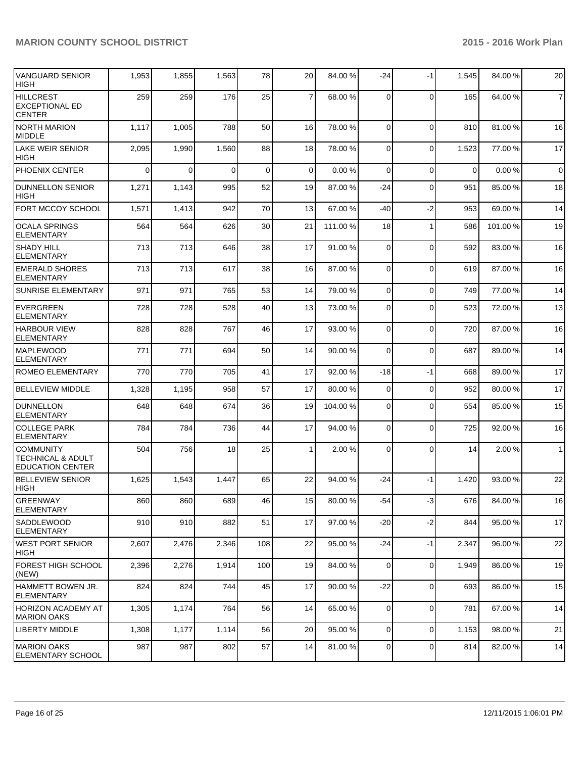| <b>VANGUARD SENIOR</b><br><b>HIGH</b>                                       | 1,953    | 1,855    | 1,563    | 78          | 20 <sup>1</sup> | 84.00 %  | $-24$          | $-1$           | 1,545       | 84.00%  | 20             |
|-----------------------------------------------------------------------------|----------|----------|----------|-------------|-----------------|----------|----------------|----------------|-------------|---------|----------------|
| <b>HILLCREST</b><br><b>EXCEPTIONAL ED</b><br><b>CENTER</b>                  | 259      | 259      | 176      | 25          | $\overline{7}$  | 68.00 %  | $\Omega$       | $\Omega$       | 165         | 64.00%  | $\overline{7}$ |
| <b>NORTH MARION</b><br><b>MIDDLE</b>                                        | 1,117    | 1,005    | 788      | 50          | 16              | 78.00 %  | $\Omega$       | $\Omega$       | 810         | 81.00%  | 16             |
| <b>LAKE WEIR SENIOR</b><br><b>HIGH</b>                                      | 2,095    | 1,990    | 1,560    | 88          | 18              | 78.00 %  | $\Omega$       | $\mathbf 0$    | 1,523       | 77.00 % | 17             |
| PHOENIX CENTER                                                              | $\Omega$ | $\Omega$ | $\Omega$ | $\mathbf 0$ | $\overline{0}$  | 0.00%    | $\Omega$       | $\mathbf 0$    | $\mathbf 0$ | 0.00%   | $\overline{0}$ |
| <b>DUNNELLON SENIOR</b><br><b>HIGH</b>                                      | 1,271    | 1,143    | 995      | 52          | 19              | 87.00 %  | -24            | $\mathbf 0$    | 951         | 85.00 % | 18             |
| FORT MCCOY SCHOOL                                                           | 1,571    | 1,413    | 942      | 70          | 13              | 67.00 %  | $-40$          | $-2$           | 953         | 69.00 % | 14             |
| <b>OCALA SPRINGS</b><br><b>ELEMENTARY</b>                                   | 564      | 564      | 626      | 30          | 21              | 111.00 % | 18             | 1              | 586         | 101.00% | 19             |
| <b>SHADY HILL</b><br><b>ELEMENTARY</b>                                      | 713      | 713      | 646      | 38          | 17              | 91.00 %  | $\overline{0}$ | $\mathbf 0$    | 592         | 83.00 % | 16             |
| <b>EMERALD SHORES</b><br><b>ELEMENTARY</b>                                  | 713      | 713      | 617      | 38          | 16              | 87.00 %  | $\Omega$       | $\overline{0}$ | 619         | 87.00 % | 16             |
| <b>SUNRISE ELEMENTARY</b>                                                   | 971      | 971      | 765      | 53          | 14              | 79.00 %  | $\Omega$       | $\overline{0}$ | 749         | 77.00 % | 14             |
| EVERGREEN<br><b>ELEMENTARY</b>                                              | 728      | 728      | 528      | 40          | 13              | 73.00 %  | $\Omega$       | $\mathbf{0}$   | 523         | 72.00 % | 13             |
| <b>HARBOUR VIEW</b><br><b>ELEMENTARY</b>                                    | 828      | 828      | 767      | 46          | 17              | 93.00 %  | 0              | $\overline{0}$ | 720         | 87.00 % | 16             |
| <b>MAPLEWOOD</b><br><b>ELEMENTARY</b>                                       | 771      | 771      | 694      | 50          | 14              | 90.00 %  | $\Omega$       | 0              | 687         | 89.00 % | 14             |
| ROMEO ELEMENTARY                                                            | 770      | 770      | 705      | 41          | 17              | 92.00 %  | $-18$          | $-1$           | 668         | 89.00 % | 17             |
| <b>BELLEVIEW MIDDLE</b>                                                     | 1,328    | 1,195    | 958      | 57          | 17              | 80.00 %  | $\overline{0}$ | $\mathbf 0$    | 952         | 80.00 % | 17             |
| <b>DUNNELLON</b><br>ELEMENTARY                                              | 648      | 648      | 674      | 36          | 19              | 104.00 % | $\Omega$       | $\overline{0}$ | 554         | 85.00 % | 15             |
| <b>COLLEGE PARK</b><br><b>ELEMENTARY</b>                                    | 784      | 784      | 736      | 44          | 17              | 94.00 %  | $\overline{0}$ | 0              | 725         | 92.00 % | 16             |
| <b>COMMUNITY</b><br><b>TECHNICAL &amp; ADULT</b><br><b>EDUCATION CENTER</b> | 504      | 756      | 18       | 25          | 1               | 2.00 %   | $\Omega$       | $\Omega$       | 14          | 2.00%   | 1              |
| <b>BELLEVIEW SENIOR</b><br><b>HIGH</b>                                      | 1,625    | 1,543    | 1,447    | 65          | 22              | 94.00 %  | $-24$          | $-1$           | 1,420       | 93.00 % | 22             |
| <b>GREENWAY</b><br><b>ELEMENTARY</b>                                        | 860      | 860      | 689      | 46          | 15              | 80.00 %  | $-54$          | $-3$           | 676         | 84.00%  | 16             |
| <b>SADDLEWOOD</b><br><b>IELEMENTARY</b>                                     | 910      | 910      | 882      | 51          | 17              | 97.00 %  | $-20$          | $-2$           | 844         | 95.00 % | 17             |
| WEST PORT SENIOR<br> HIGH                                                   | 2,607    | 2,476    | 2,346    | 108         | 22              | 95.00 %  | $-24$          | $-1$           | 2,347       | 96.00%  | 22             |
| FOREST HIGH SCHOOL<br>(NEW)                                                 | 2,396    | 2,276    | 1,914    | 100         | 19              | 84.00 %  | $\Omega$       | $\mathbf 0$    | 1,949       | 86.00 % | 19             |
| HAMMETT BOWEN JR.<br><b>ELEMENTARY</b>                                      | 824      | 824      | 744      | 45          | 17              | 90.00 %  | $-22$          | 0              | 693         | 86.00%  | 15             |
| HORIZON ACADEMY AT<br><b>IMARION OAKS</b>                                   | 1,305    | 1,174    | 764      | 56          | 14              | 65.00 %  | $\Omega$       | $\mathbf 0$    | 781         | 67.00 % | 14             |
| LIBERTY MIDDLE                                                              | 1,308    | 1,177    | 1,114    | 56          | 20 <sup>2</sup> | 95.00 %  | $\overline{0}$ | 0              | 1,153       | 98.00 % | 21             |
| <b>MARION OAKS</b><br><b>ELEMENTARY SCHOOL</b>                              | 987      | 987      | 802      | 57          | 14              | 81.00 %  | $\overline{0}$ | 0              | 814         | 82.00 % | 14             |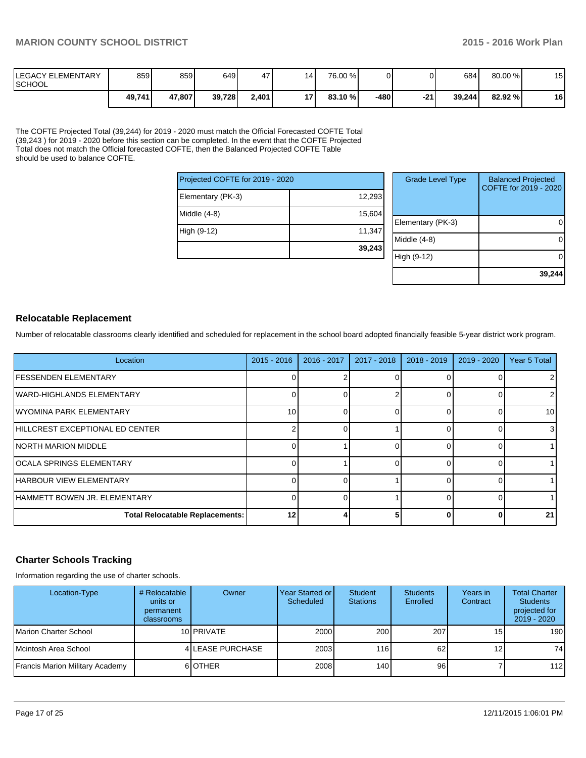| <b>ILEGACY ELEMENTARY</b><br><b>ISCHOOL</b> | 859    | 859    | 649 I  | 47'   | 14 <sup>1</sup> | 76.00 %    |      |       | 684    | 80.00 % | 15<br>U |
|---------------------------------------------|--------|--------|--------|-------|-----------------|------------|------|-------|--------|---------|---------|
|                                             | 49,741 | 47,807 | 39,728 | 2,401 | 17 I            | $83.10 \%$ | -480 | $-21$ | 39.244 | 82.92 % | 16      |

The COFTE Projected Total (39,244) for 2019 - 2020 must match the Official Forecasted COFTE Total (39,243 ) for 2019 - 2020 before this section can be completed. In the event that the COFTE Projected Total does not match the Official forecasted COFTE, then the Balanced Projected COFTE Table should be used to balance COFTE.

| Projected COFTE for 2019 - 2020 |        | Gr            |
|---------------------------------|--------|---------------|
| Elementary (PK-3)               | 12,293 |               |
| Middle $(4-8)$                  | 15,604 | Eleme         |
| High (9-12)                     | 11,347 | <b>Middle</b> |
|                                 | 39,243 |               |

| <b>Grade Level Type</b> | <b>Balanced Projected</b><br>COFTE for 2019 - 2020 |
|-------------------------|----------------------------------------------------|
| Elementary (PK-3)       |                                                    |
| Middle $(4-8)$          |                                                    |
| High (9-12)             |                                                    |
|                         | 39,244                                             |

# **Relocatable Replacement**

Number of relocatable classrooms clearly identified and scheduled for replacement in the school board adopted financially feasible 5-year district work program.

| Location                               | $2015 - 2016$ | $2016 - 2017$ | 2017 - 2018 | $2018 - 2019$ | 2019 - 2020 | Year 5 Total    |
|----------------------------------------|---------------|---------------|-------------|---------------|-------------|-----------------|
| <b>IFESSENDEN ELEMENTARY</b>           |               |               |             |               |             |                 |
| <b>IWARD-HIGHLANDS ELEMENTARY</b>      |               |               |             |               |             | 2               |
| <b>IWYOMINA PARK ELEMENTARY</b>        | 10            |               |             |               |             | 10 <sup>1</sup> |
| HILLCREST EXCEPTIONAL ED CENTER        |               |               |             |               |             | 3               |
| <b>INORTH MARION MIDDLE</b>            |               |               |             |               |             |                 |
| <b>OCALA SPRINGS ELEMENTARY</b>        |               |               |             |               |             |                 |
| <b>HARBOUR VIEW ELEMENTARY</b>         |               |               |             |               |             |                 |
| <b>HAMMETT BOWEN JR. ELEMENTARY</b>    |               |               |             |               |             |                 |
| <b>Total Relocatable Replacements:</b> | 12            |               |             |               |             | 21              |

# **Charter Schools Tracking**

Information regarding the use of charter schools.

| Location-Type                   | # Relocatable<br>units or<br>permanent<br><b>classrooms</b> | Owner            | Year Started or<br>Scheduled | Student<br><b>Stations</b> | <b>Students</b><br>Enrolled | Years in<br>Contract | <b>Total Charter</b><br><b>Students</b><br>projected for<br>2019 - 2020 |
|---------------------------------|-------------------------------------------------------------|------------------|------------------------------|----------------------------|-----------------------------|----------------------|-------------------------------------------------------------------------|
| Marion Charter School           |                                                             | 10 PRIVATE       | 2000                         | 200                        | 207                         | 15 <sub>l</sub>      | 190                                                                     |
| Mcintosh Area School            |                                                             | 4 LEASE PURCHASE | 2003                         | 116                        | 62                          | 12                   | 74                                                                      |
| Francis Marion Military Academy |                                                             | 6 <b>OTHER</b>   | 2008                         | 140                        | 96                          |                      | 112                                                                     |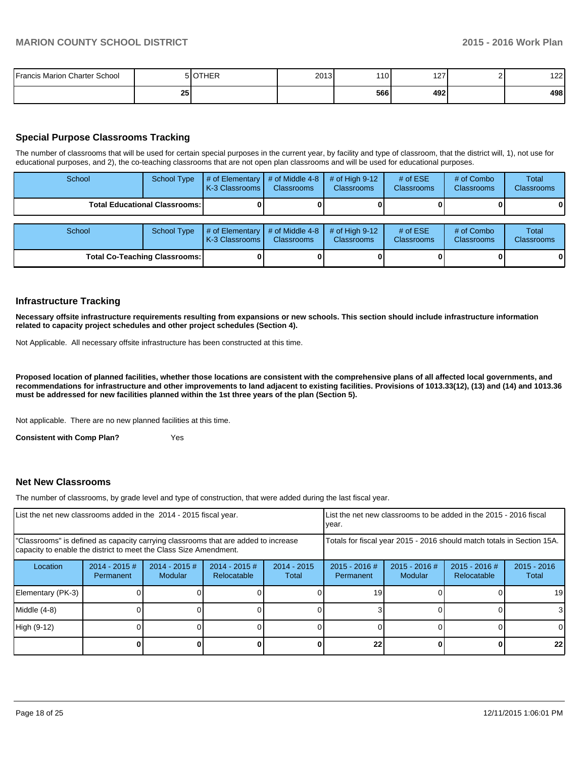| <b>Francis Marion Charter School</b> |                 | <b>IOTHER</b> | 2013 | 10I | 1 2 7<br>$-$ | 122 |
|--------------------------------------|-----------------|---------------|------|-----|--------------|-----|
|                                      | 25 <sup>1</sup> |               |      | 566 | 492          | 498 |

# **Special Purpose Classrooms Tracking**

The number of classrooms that will be used for certain special purposes in the current year, by facility and type of classroom, that the district will, 1), not use for educational purposes, and 2), the co-teaching classrooms that are not open plan classrooms and will be used for educational purposes.

| School                               | <b>School Type</b>                     | # of Elementary<br>K-3 Classrooms | # of Middle 4-8<br><b>Classrooms</b> | $#$ of High 9-12<br><b>Classrooms</b> | # of $ESE$<br>Classrooms | # of Combo<br><b>Classrooms</b> | Total<br><b>Classrooms</b> |
|--------------------------------------|----------------------------------------|-----------------------------------|--------------------------------------|---------------------------------------|--------------------------|---------------------------------|----------------------------|
|                                      | <b>Total Educational Classrooms: I</b> |                                   |                                      |                                       |                          |                                 | 01                         |
| School                               | <b>School Type</b>                     | # of Elementary<br>K-3 Classrooms | # of Middle 4-8<br><b>Classrooms</b> | # of High $9-12$<br><b>Classrooms</b> | # of $ESE$<br>Classrooms | # of Combo<br><b>Classrooms</b> | Total<br><b>Classrooms</b> |
| <b>Total Co-Teaching Classrooms:</b> |                                        |                                   |                                      |                                       |                          |                                 | 01                         |

#### **Infrastructure Tracking**

**Necessary offsite infrastructure requirements resulting from expansions or new schools. This section should include infrastructure information related to capacity project schedules and other project schedules (Section 4).**

Not Applicable. All necessary offsite infrastructure has been constructed at this time.

**Proposed location of planned facilities, whether those locations are consistent with the comprehensive plans of all affected local governments, and recommendations for infrastructure and other improvements to land adjacent to existing facilities. Provisions of 1013.33(12), (13) and (14) and 1013.36 must be addressed for new facilities planned within the 1st three years of the plan (Section 5).**

Not applicable. There are no new planned facilities at this time.

**Consistent with Comp Plan?** Yes

#### **Net New Classrooms**

The number of classrooms, by grade level and type of construction, that were added during the last fiscal year.

| List the net new classrooms added in the 2014 - 2015 fiscal year.                                                                                       | List the net new classrooms to be added in the 2015 - 2016 fiscal<br>Ivear. |                            |                                 |                        |                              |                          |                                |                        |
|---------------------------------------------------------------------------------------------------------------------------------------------------------|-----------------------------------------------------------------------------|----------------------------|---------------------------------|------------------------|------------------------------|--------------------------|--------------------------------|------------------------|
| "Classrooms" is defined as capacity carrying classrooms that are added to increase<br>capacity to enable the district to meet the Class Size Amendment. | Totals for fiscal year 2015 - 2016 should match totals in Section 15A.      |                            |                                 |                        |                              |                          |                                |                        |
| Location                                                                                                                                                | $2014 - 2015 \#$<br>Permanent                                               | $2014 - 2015$ #<br>Modular | $2014 - 2015 \#$<br>Relocatable | $2014 - 2015$<br>Total | $2015 - 2016$ #<br>Permanent | 2015 - 2016 #<br>Modular | $2015 - 2016$ #<br>Relocatable | $2015 - 2016$<br>Total |
| Elementary (PK-3)                                                                                                                                       |                                                                             |                            |                                 |                        | 19                           |                          |                                | 19                     |
| Middle (4-8)                                                                                                                                            |                                                                             |                            |                                 |                        |                              |                          |                                | 31                     |
| High (9-12)                                                                                                                                             |                                                                             |                            |                                 |                        |                              |                          |                                |                        |
|                                                                                                                                                         |                                                                             |                            |                                 |                        | 22                           |                          |                                | 22 <sub>1</sub>        |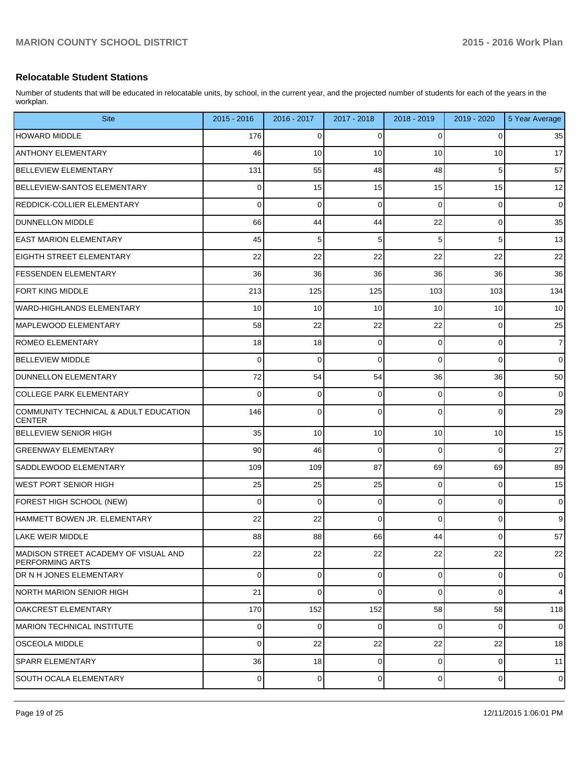# **Relocatable Student Stations**

Number of students that will be educated in relocatable units, by school, in the current year, and the projected number of students for each of the years in the workplan.

| <b>Site</b>                                                     | 2015 - 2016    | 2016 - 2017    | 2017 - 2018    | 2018 - 2019    | 2019 - 2020    | 5 Year Average |
|-----------------------------------------------------------------|----------------|----------------|----------------|----------------|----------------|----------------|
| <b>HOWARD MIDDLE</b>                                            | 176            | 0              | 0              | 0              | 0              | 35             |
| <b>ANTHONY ELEMENTARY</b>                                       | 46             | 10             | 10             | 10             | 10             | 17             |
| <b>BELLEVIEW ELEMENTARY</b>                                     | 131            | 55             | 48             | 48             | 5              | 57             |
| BELLEVIEW-SANTOS ELEMENTARY                                     | 0              | 15             | 15             | 15             | 15             | 12             |
| <b>REDDICK-COLLIER ELEMENTARY</b>                               | 0              | 0              | 0              | 0              | 0              | $\mathbf 0$    |
| <b>DUNNELLON MIDDLE</b>                                         | 66             | 44             | 44             | 22             | 0              | 35             |
| <b>LEAST MARION ELEMENTARY</b>                                  | 45             | 5              | 5              | 5              | 5              | 13             |
| <b>EIGHTH STREET ELEMENTARY</b>                                 | 22             | 22             | 22             | 22             | 22             | 22             |
| <b>FESSENDEN ELEMENTARY</b>                                     | 36             | 36             | 36             | 36             | 36             | 36             |
| <b>FORT KING MIDDLE</b>                                         | 213            | 125            | 125            | 103            | 103            | 134            |
| WARD-HIGHLANDS ELEMENTARY                                       | 10             | 10             | 10             | 10             | 10             | 10             |
| MAPLEWOOD ELEMENTARY                                            | 58             | 22             | 22             | 22             | 0              | 25             |
| <b>ROMEO ELEMENTARY</b>                                         | 18             | 18             | 0              | 0              | 0              | $\overline{7}$ |
| <b>BELLEVIEW MIDDLE</b>                                         | 0              | 0              | 0              | $\Omega$       | 0              | $\mathbf 0$    |
| <b>DUNNELLON ELEMENTARY</b>                                     | 72             | 54             | 54             | 36             | 36             | 50             |
| <b>COLLEGE PARK ELEMENTARY</b>                                  | 0              | 0              | 0              | 0              | 0              | $\mathbf 0$    |
| COMMUNITY TECHNICAL & ADULT EDUCATION<br><b>CENTER</b>          | 146            | $\mathbf 0$    | $\Omega$       | $\Omega$       | 0              | 29             |
| <b>BELLEVIEW SENIOR HIGH</b>                                    | 35             | 10             | 10             | 10             | 10             | 15             |
| <b>GREENWAY ELEMENTARY</b>                                      | 90             | 46             | $\mathbf 0$    | $\Omega$       | 0              | 27             |
| SADDLEWOOD ELEMENTARY                                           | 109            | 109            | 87             | 69             | 69             | 89             |
| <b>WEST PORT SENIOR HIGH</b>                                    | 25             | 25             | 25             | 0              | 0              | 15             |
| FOREST HIGH SCHOOL (NEW)                                        | $\Omega$       | $\mathbf 0$    | $\mathbf 0$    | $\overline{0}$ | 0              | $\mathbf 0$    |
| HAMMETT BOWEN JR. ELEMENTARY                                    | 22             | 22             | $\Omega$       | $\Omega$       | 0              | 9              |
| LAKE WEIR MIDDLE                                                | 88             | 88             | 66             | 44             | $\overline{0}$ | 57             |
| IMADISON STREET ACADEMY OF VISUAL AND<br><b>PERFORMING ARTS</b> | 22             | 22             | 22             | 22             | 22             | 22             |
| <b>DR N H JONES ELEMENTARY</b>                                  | $\overline{0}$ | $\mathbf 0$    | $\mathbf 0$    | $\overline{0}$ | 0              | $\mathbf 0$    |
| NORTH MARION SENIOR HIGH                                        | 21             | 0              | $\Omega$       | $\Omega$       | 0              | $\overline{4}$ |
| OAKCREST ELEMENTARY                                             | 170            | 152            | 152            | 58             | 58             | 118            |
| MARION TECHNICAL INSTITUTE                                      | $\Omega$       | 0              | $\overline{0}$ | $\overline{0}$ | 0              | $\mathbf 0$    |
| OSCEOLA MIDDLE                                                  | $\Omega$       | 22             | 22             | 22             | 22             | 18             |
| <b>SPARR ELEMENTARY</b>                                         | 36             | 18             | $\mathbf 0$    | $\overline{0}$ | 0              | 11             |
| SOUTH OCALA ELEMENTARY                                          | $\overline{0}$ | $\overline{0}$ | $\overline{0}$ | $\overline{0}$ | $\overline{0}$ | $\mathbf 0$    |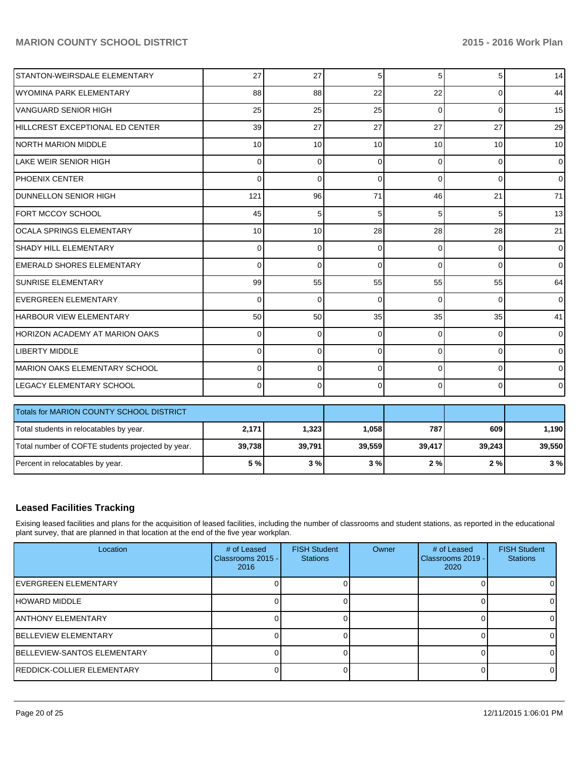| STANTON-WEIRSDALE ELEMENTARY                      | 27              | 27       | 5        | 5        | 5        | 14             |
|---------------------------------------------------|-----------------|----------|----------|----------|----------|----------------|
| <b>WYOMINA PARK ELEMENTARY</b>                    | 88              | 88       | 22       | 22       | $\Omega$ | 44             |
| <b>VANGUARD SENIOR HIGH</b>                       | 25              | 25       | 25       | $\Omega$ | $\Omega$ | 15             |
| HILLCREST EXCEPTIONAL ED CENTER                   | 39              | 27       | 27       | 27       | 27       | 29             |
| <b>NORTH MARION MIDDLE</b>                        | 10 <sup>1</sup> | 10       | 10       | 10       | 10       | 10             |
| LAKE WEIR SENIOR HIGH                             | 0               | $\Omega$ | $\Omega$ | $\Omega$ | $\Omega$ | $\overline{0}$ |
| <b>PHOENIX CENTER</b>                             | 0               | $\Omega$ | $\Omega$ | $\Omega$ | $\Omega$ | $\overline{0}$ |
| <b>DUNNELLON SENIOR HIGH</b>                      | 121             | 96       | 71       | 46       | 21       | 71             |
| FORT MCCOY SCHOOL                                 | 45              | 5        | 5        | 5        | 5        | 13             |
| <b>OCALA SPRINGS ELEMENTARY</b>                   | 10 <sup>1</sup> | 10       | 28       | 28       | 28       | 21             |
| <b>SHADY HILL ELEMENTARY</b>                      | $\Omega$        | $\Omega$ | $\Omega$ | $\Omega$ | $\Omega$ | $\overline{0}$ |
| <b>EMERALD SHORES ELEMENTARY</b>                  | $\Omega$        | $\Omega$ | $\Omega$ | $\Omega$ | $\Omega$ | $\overline{0}$ |
| <b>SUNRISE ELEMENTARY</b>                         | 99              | 55       | 55       | 55       | 55       | 64             |
| <b>EVERGREEN ELEMENTARY</b>                       | 0               | $\Omega$ | $\Omega$ | $\Omega$ | $\Omega$ | $\overline{0}$ |
| HARBOUR VIEW ELEMENTARY                           | 50              | 50       | 35       | 35       | 35       | 41             |
| <b>HORIZON ACADEMY AT MARION OAKS</b>             | $\Omega$        | $\Omega$ | $\Omega$ | $\Omega$ | $\Omega$ | $\overline{0}$ |
| <b>LIBERTY MIDDLE</b>                             | $\Omega$        | $\Omega$ | $\Omega$ | $\Omega$ | $\Omega$ | $\overline{0}$ |
| MARION OAKS ELEMENTARY SCHOOL                     | $\Omega$        | $\Omega$ | $\Omega$ | $\Omega$ | $\Omega$ | $\overline{0}$ |
| <b>LEGACY ELEMENTARY SCHOOL</b>                   | 0               | 0        | $\Omega$ | $\Omega$ | $\Omega$ | $\overline{0}$ |
| Totals for MARION COUNTY SCHOOL DISTRICT          |                 |          |          |          |          |                |
| Total students in relocatables by year.           | 2,171           | 1,323    | 1,058    | 787      | 609      | 1,190          |
| Total number of COFTE students projected by year. | 39,738          | 39,791   | 39,559   | 39,417   | 39,243   | 39,550         |
|                                                   |                 |          |          |          |          |                |
| Percent in relocatables by year.                  | 5 %             | 3%       | 3%       | 2%       | 2%       | 3%             |

# **Leased Facilities Tracking**

Exising leased facilities and plans for the acquisition of leased facilities, including the number of classrooms and student stations, as reported in the educational plant survey, that are planned in that location at the end of the five year workplan.

| Location                            | # of Leased<br>Classrooms 2015 -<br>2016 | <b>FISH Student</b><br><b>Stations</b> | Owner | # of Leased<br>Classrooms 2019 -<br>2020 | <b>FISH Student</b><br><b>Stations</b> |
|-------------------------------------|------------------------------------------|----------------------------------------|-------|------------------------------------------|----------------------------------------|
| <b>IEVERGREEN ELEMENTARY</b>        |                                          |                                        |       |                                          |                                        |
| <b>HOWARD MIDDLE</b>                |                                          |                                        |       |                                          |                                        |
| <b>JANTHONY ELEMENTARY</b>          |                                          |                                        |       |                                          |                                        |
| <b>IBELLEVIEW ELEMENTARY</b>        |                                          |                                        |       |                                          |                                        |
| <b>IBELLEVIEW-SANTOS ELEMENTARY</b> |                                          |                                        |       |                                          |                                        |
| <b>IREDDICK-COLLIER ELEMENTARY</b>  |                                          |                                        |       |                                          |                                        |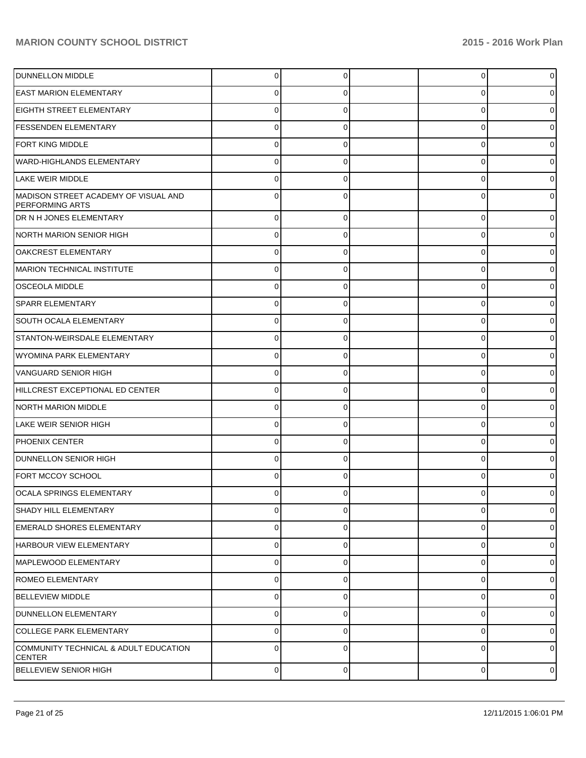| <b>DUNNELLON MIDDLE</b>                                        | 0           |             | $\Omega$ | $\overline{0}$ |
|----------------------------------------------------------------|-------------|-------------|----------|----------------|
| <b>EAST MARION ELEMENTARY</b>                                  |             |             | U        | 0              |
| EIGHTH STREET ELEMENTARY                                       |             |             | U        | 0              |
| <b>FESSENDEN ELEMENTARY</b>                                    | 0           |             | 0        | 0              |
| <b>FORT KING MIDDLE</b>                                        | U           |             | 0        | 0              |
| <b>WARD-HIGHLANDS ELEMENTARY</b>                               | 0           |             | 0        | 0              |
| LAKE WEIR MIDDLE                                               |             |             | Ω        | 0              |
| MADISON STREET ACADEMY OF VISUAL AND<br><b>PERFORMING ARTS</b> | 0           |             | $\Omega$ | 0              |
| DR N H JONES ELEMENTARY                                        | $\Omega$    | $\Omega$    | $\Omega$ | 0              |
| NORTH MARION SENIOR HIGH                                       | $\Omega$    | $\Omega$    | $\Omega$ | 0              |
| <b>OAKCREST ELEMENTARY</b>                                     | $\Omega$    | $\Omega$    | $\Omega$ | 0              |
| MARION TECHNICAL INSTITUTE                                     | $\Omega$    | $\Omega$    | $\Omega$ | 0              |
| <b>OSCEOLA MIDDLE</b>                                          | $\Omega$    | $\Omega$    | $\Omega$ | 0              |
| <b>SPARR ELEMENTARY</b>                                        | $\Omega$    | $\Omega$    | $\Omega$ | 0              |
| <b>SOUTH OCALA ELEMENTARY</b>                                  | $\Omega$    | $\Omega$    | $\Omega$ | 01             |
| STANTON-WEIRSDALE ELEMENTARY                                   | $\Omega$    | $\Omega$    | $\Omega$ | 0              |
| <b>WYOMINA PARK ELEMENTARY</b>                                 | $\Omega$    | $\Omega$    | $\Omega$ | 0              |
| <b>VANGUARD SENIOR HIGH</b>                                    | $\Omega$    | $\Omega$    | $\Omega$ | 0              |
| HILLCREST EXCEPTIONAL ED CENTER                                | $\Omega$    | $\Omega$    | $\Omega$ | 0              |
| NORTH MARION MIDDLE                                            | $\Omega$    | $\Omega$    | $\Omega$ | 0              |
| LAKE WEIR SENIOR HIGH                                          | $\Omega$    | $\Omega$    | $\Omega$ | 01             |
| <b>PHOENIX CENTER</b>                                          | $\Omega$    | $\Omega$    | $\Omega$ | 0              |
| <b>DUNNELLON SENIOR HIGH</b>                                   | $\Omega$    | $\Omega$    | $\Omega$ | 0              |
| FORT MCCOY SCHOOL                                              | 0           |             | $\Omega$ | 0              |
| OCALA SPRINGS ELEMENTARY                                       | 0           | $\Omega$    | O        | 01             |
| <b>SHADY HILL ELEMENTARY</b>                                   | $\Omega$    | $\Omega$    | $\Omega$ | $\overline{0}$ |
| <b>EMERALD SHORES ELEMENTARY</b>                               | 0           | $\Omega$    | 0        | $\overline{0}$ |
| HARBOUR VIEW ELEMENTARY                                        | $\mathbf 0$ | $\Omega$    | 0        | $\overline{0}$ |
| MAPLEWOOD ELEMENTARY                                           | $\Omega$    | $\Omega$    | 0        | $\overline{0}$ |
| ROMEO ELEMENTARY                                               | $\Omega$    | $\Omega$    | 0        | $\overline{0}$ |
| <b>BELLEVIEW MIDDLE</b>                                        | 0           | $\Omega$    | 0        | $\overline{0}$ |
| DUNNELLON ELEMENTARY                                           | $\mathbf 0$ | $\Omega$    | 0        | $\overline{0}$ |
| <b>COLLEGE PARK ELEMENTARY</b>                                 | $\Omega$    | $\Omega$    | $\Omega$ | $\overline{0}$ |
| COMMUNITY TECHNICAL & ADULT EDUCATION<br><b>CENTER</b>         | $\Omega$    | $\Omega$    | $\Omega$ | $\overline{0}$ |
| <b>BELLEVIEW SENIOR HIGH</b>                                   | 0           | $\mathbf 0$ | 0        | $\circ$        |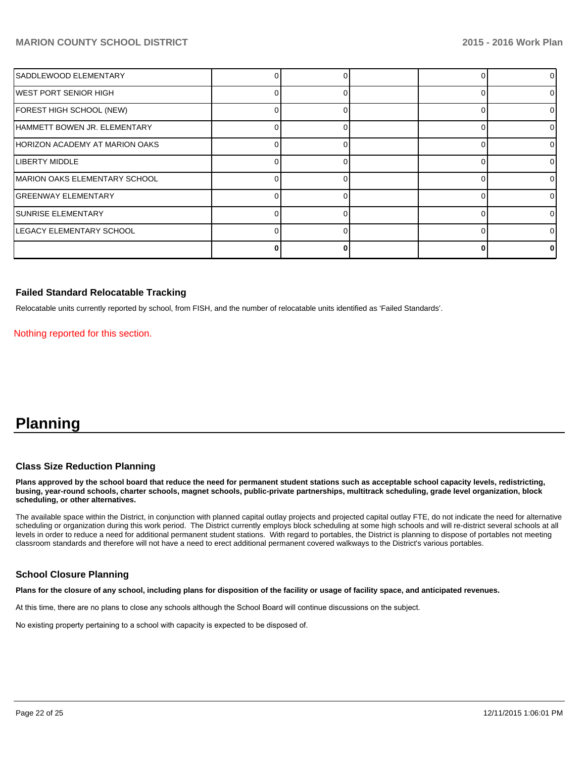| SADDLEWOOD ELEMENTARY                |  |  | 0  |
|--------------------------------------|--|--|----|
| WEST PORT SENIOR HIGH                |  |  | 0  |
| FOREST HIGH SCHOOL (NEW)             |  |  | 0  |
| HAMMETT BOWEN JR. ELEMENTARY         |  |  | 0  |
| HORIZON ACADEMY AT MARION OAKS       |  |  | 0  |
| <b>LIBERTY MIDDLE</b>                |  |  | 0  |
| <b>MARION OAKS ELEMENTARY SCHOOL</b> |  |  | 0  |
| <b>GREENWAY ELEMENTARY</b>           |  |  | 0  |
| <b>SUNRISE ELEMENTARY</b>            |  |  | 0  |
| LEGACY ELEMENTARY SCHOOL             |  |  | 0  |
|                                      |  |  | ΩI |

#### **Failed Standard Relocatable Tracking**

Relocatable units currently reported by school, from FISH, and the number of relocatable units identified as 'Failed Standards'.

Nothing reported for this section.

# **Planning**

#### **Class Size Reduction Planning**

**Plans approved by the school board that reduce the need for permanent student stations such as acceptable school capacity levels, redistricting, busing, year-round schools, charter schools, magnet schools, public-private partnerships, multitrack scheduling, grade level organization, block scheduling, or other alternatives.**

The available space within the District, in conjunction with planned capital outlay projects and projected capital outlay FTE, do not indicate the need for alternative scheduling or organization during this work period. The District currently employs block scheduling at some high schools and will re-district several schools at all levels in order to reduce a need for additional permanent student stations. With regard to portables, the District is planning to dispose of portables not meeting classroom standards and therefore will not have a need to erect additional permanent covered walkways to the District's various portables.

#### **School Closure Planning**

**Plans for the closure of any school, including plans for disposition of the facility or usage of facility space, and anticipated revenues.**

At this time, there are no plans to close any schools although the School Board will continue discussions on the subject.

No existing property pertaining to a school with capacity is expected to be disposed of.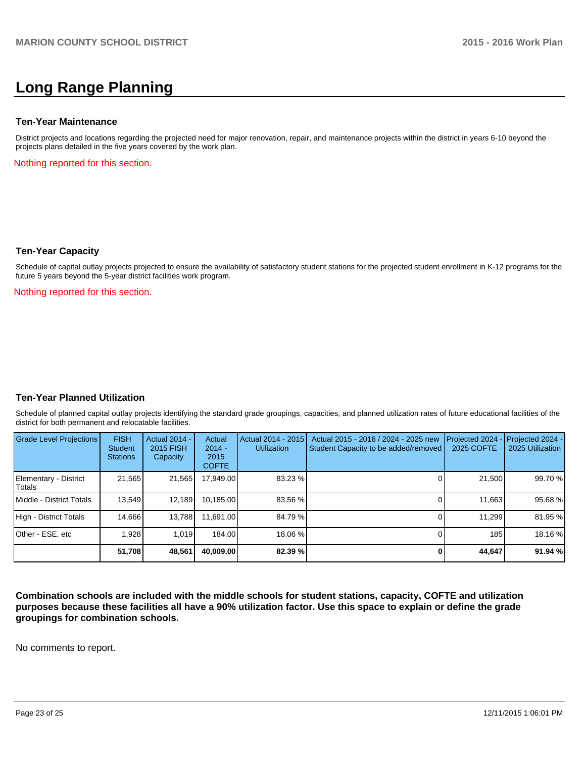# **Long Range Planning**

#### **Ten-Year Maintenance**

District projects and locations regarding the projected need for major renovation, repair, and maintenance projects within the district in years 6-10 beyond the projects plans detailed in the five years covered by the work plan.

Nothing reported for this section.

#### **Ten-Year Capacity**

Schedule of capital outlay projects projected to ensure the availability of satisfactory student stations for the projected student enrollment in K-12 programs for the future 5 years beyond the 5-year district facilities work program.

Nothing reported for this section.

#### **Ten-Year Planned Utilization**

Schedule of planned capital outlay projects identifying the standard grade groupings, capacities, and planned utilization rates of future educational facilities of the district for both permanent and relocatable facilities.

| Grade Level Projections         | <b>FISH</b><br><b>Student</b><br><b>Stations</b> | <b>Actual 2014 -</b><br><b>2015 FISH</b><br>Capacity | Actual<br>$2014 -$<br>2015<br><b>COFTE</b> | Actual 2014 - 2015<br><b>Utilization</b> | Actual 2015 - 2016 / 2024 - 2025 new<br>Student Capacity to be added/removed | Projected 2024<br>2025 COFTE | $-$ Projected 2024 -<br>2025 Utilization |
|---------------------------------|--------------------------------------------------|------------------------------------------------------|--------------------------------------------|------------------------------------------|------------------------------------------------------------------------------|------------------------------|------------------------------------------|
| Elementary - District<br>Totals | 21,565                                           | 21,565                                               | 17,949.00                                  | 83.23 %                                  |                                                                              | 21,500                       | 99.70 %                                  |
| Middle - District Totals        | 13.549                                           | 12,189                                               | 10.185.00                                  | 83.56 %                                  |                                                                              | 11.663                       | 95.68%                                   |
| High - District Totals          | 14.666                                           | 13,788                                               | 11.691.00                                  | 84.79 %                                  |                                                                              | 11,299                       | 81.95 %                                  |
| Other - ESE, etc                | 1.928                                            | 1.019                                                | 184.00                                     | 18.06 %                                  |                                                                              | 185                          | 18.16 %                                  |
|                                 | 51.708                                           | 48,561                                               | 40.009.00                                  | 82.39%                                   |                                                                              | 44.647                       | 91.94 %                                  |

**Combination schools are included with the middle schools for student stations, capacity, COFTE and utilization purposes because these facilities all have a 90% utilization factor. Use this space to explain or define the grade groupings for combination schools.**

No comments to report.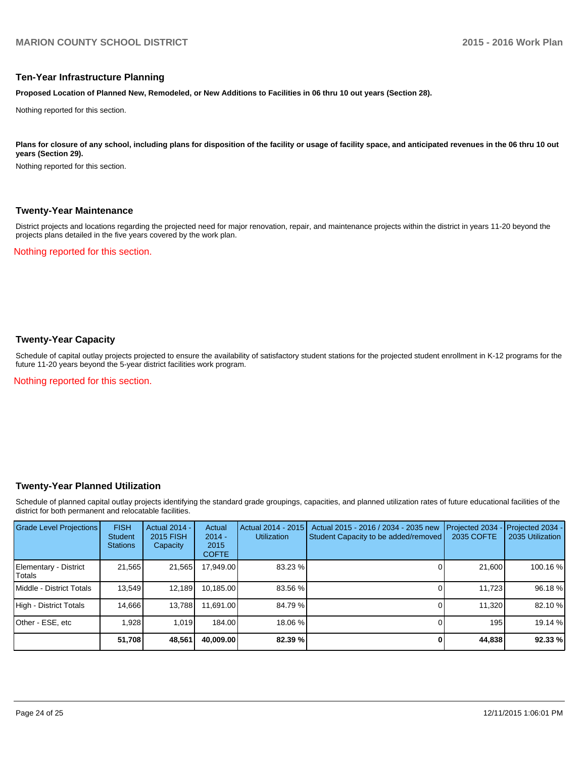#### **Ten-Year Infrastructure Planning**

**Proposed Location of Planned New, Remodeled, or New Additions to Facilities in 06 thru 10 out years (Section 28).**

Nothing reported for this section.

Plans for closure of any school, including plans for disposition of the facility or usage of facility space, and anticipated revenues in the 06 thru 10 out **years (Section 29).**

Nothing reported for this section.

#### **Twenty-Year Maintenance**

District projects and locations regarding the projected need for major renovation, repair, and maintenance projects within the district in years 11-20 beyond the projects plans detailed in the five years covered by the work plan.

Nothing reported for this section.

# **Twenty-Year Capacity**

Schedule of capital outlay projects projected to ensure the availability of satisfactory student stations for the projected student enrollment in K-12 programs for the future 11-20 years beyond the 5-year district facilities work program.

Nothing reported for this section.

#### **Twenty-Year Planned Utilization**

Schedule of planned capital outlay projects identifying the standard grade groupings, capacities, and planned utilization rates of future educational facilities of the district for both permanent and relocatable facilities.

| <b>Grade Level Projections</b>    | <b>FISH</b><br><b>Student</b><br><b>Stations</b> | <b>Actual 2014 -</b><br>2015 FISH<br>Capacity | Actual<br>$2014 -$<br>2015<br><b>COFTE</b> | Actual 2014 - 2015<br><b>Utilization</b> | Actual 2015 - 2016 / 2034 - 2035 new<br>Student Capacity to be added/removed | Projected 2034<br>2035 COFTE | Projected 2034 -<br>2035 Utilization |
|-----------------------------------|--------------------------------------------------|-----------------------------------------------|--------------------------------------------|------------------------------------------|------------------------------------------------------------------------------|------------------------------|--------------------------------------|
| Elementary - District<br>l Totals | 21,565                                           | 21,565                                        | 17,949.00                                  | 83.23 %                                  |                                                                              | 21.600                       | 100.16%                              |
| Middle - District Totals          | 13.549                                           | 12.189                                        | 10,185.00                                  | 83.56 %                                  |                                                                              | 11,723                       | 96.18%                               |
| High - District Totals            | 14.666                                           | 13,788                                        | 11.691.00                                  | 84.79 %                                  |                                                                              | 11.320                       | 82.10 %                              |
| Other - ESE, etc                  | .928                                             | 1.019                                         | 184.00                                     | 18.06 %                                  |                                                                              | 195                          | 19.14 %                              |
|                                   | 51,708                                           | 48,561                                        | 40,009.00                                  | 82.39 %                                  |                                                                              | 44,838                       | 92.33 %                              |